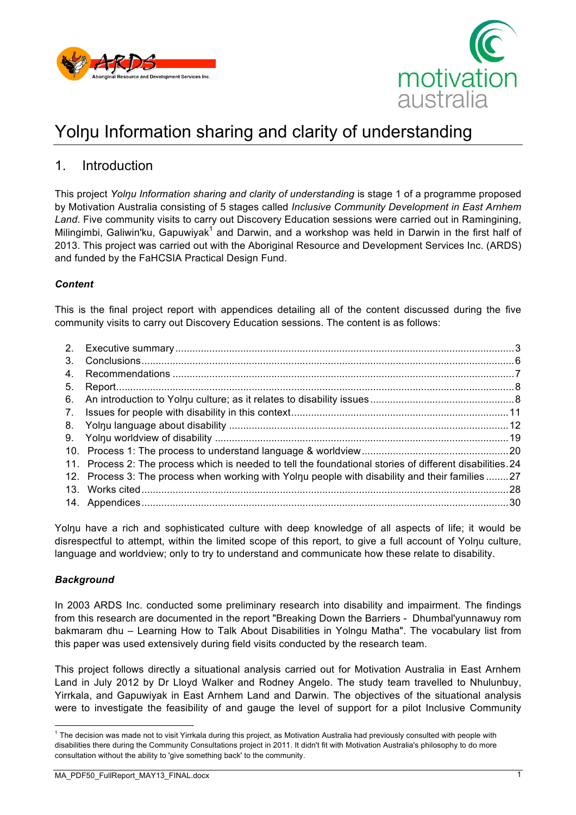



# Yolnu Information sharing and clarity of understanding

## 1. Introduction

This project *Yolŋu Information sharing and clarity of understanding* is stage 1 of a programme proposed by Motivation Australia consisting of 5 stages called *Inclusive Community Development in East Arnhem Land*. Five community visits to carry out Discovery Education sessions were carried out in Ramingining, Milingimbi, Galiwin'ku, Gapuwiyak<sup>1</sup> and Darwin, and a workshop was held in Darwin in the first half of 2013. This project was carried out with the Aboriginal Resource and Development Services Inc. (ARDS) and funded by the FaHCSIA Practical Design Fund.

#### *Content*

This is the final project report with appendices detailing all of the content discussed during the five community visits to carry out Discovery Education sessions. The content is as follows:

| 3. |                                                                                                           |  |
|----|-----------------------------------------------------------------------------------------------------------|--|
| 4. |                                                                                                           |  |
| 5. |                                                                                                           |  |
|    |                                                                                                           |  |
|    |                                                                                                           |  |
|    |                                                                                                           |  |
|    |                                                                                                           |  |
|    |                                                                                                           |  |
|    | 11. Process 2: The process which is needed to tell the foundational stories of different disabilities. 24 |  |
|    | 12. Process 3: The process when working with Yolnu people with disability and their families27            |  |
|    |                                                                                                           |  |
|    |                                                                                                           |  |

Yolnu have a rich and sophisticated culture with deep knowledge of all aspects of life; it would be disrespectful to attempt, within the limited scope of this report, to give a full account of Yolnu culture, language and worldview; only to try to understand and communicate how these relate to disability.

#### *Background*

In 2003 ARDS Inc. conducted some preliminary research into disability and impairment. The findings from this research are documented in the report "Breaking Down the Barriers - Dhumbal'yunnawuy rom bakmaram dhu – Learning How to Talk About Disabilities in Yolngu Matha". The vocabulary list from this paper was used extensively during field visits conducted by the research team.

This project follows directly a situational analysis carried out for Motivation Australia in East Arnhem Land in July 2012 by Dr Lloyd Walker and Rodney Angelo. The study team travelled to Nhulunbuy, Yirrkala, and Gapuwiyak in East Arnhem Land and Darwin. The objectives of the situational analysis were to investigate the feasibility of and gauge the level of support for a pilot Inclusive Community

<sup>&</sup>lt;sup>1</sup> The decision was made not to visit Yirrkala during this project, as Motivation Australia had previously consulted with people with disabilities there during the Community Consultations project in 2011. It didn't fit with Motivation Australia's philosophy to do more consultation without the ability to 'give something back' to the community.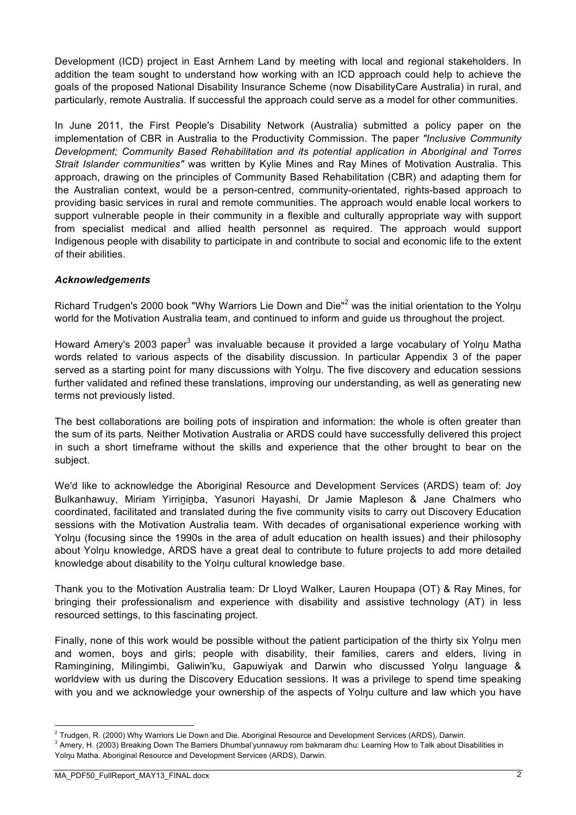Development (ICD) project in East Arnhem Land by meeting with local and regional stakeholders. In addition the team sought to understand how working with an ICD approach could help to achieve the goals of the proposed National Disability Insurance Scheme (now DisabilityCare Australia) in rural, and particularly, remote Australia. If successful the approach could serve as a model for other communities.

In June 2011, the First People's Disability Network (Australia) submitted a policy paper on the implementation of CBR in Australia to the Productivity Commission. The paper *"Inclusive Community Development; Community Based Rehabilitation and its potential application in Aboriginal and Torres Strait Islander communities"* was written by Kylie Mines and Ray Mines of Motivation Australia. This approach, drawing on the principles of Community Based Rehabilitation (CBR) and adapting them for the Australian context, would be a person-centred, community-orientated, rights-based approach to providing basic services in rural and remote communities. The approach would enable local workers to support vulnerable people in their community in a flexible and culturally appropriate way with support from specialist medical and allied health personnel as required. The approach would support Indigenous people with disability to participate in and contribute to social and economic life to the extent of their abilities.

#### *Acknowledgements*

Richard Trudgen's 2000 book "Why Warriors Lie Down and Die"<sup>2</sup> was the initial orientation to the Yolnu world for the Motivation Australia team, and continued to inform and guide us throughout the project.

Howard Amery's 2003 paper<sup>3</sup> was invaluable because it provided a large vocabulary of Yolnu Matha words related to various aspects of the disability discussion. In particular Appendix 3 of the paper served as a starting point for many discussions with Yolnu. The five discovery and education sessions further validated and refined these translations, improving our understanding, as well as generating new terms not previously listed.

The best collaborations are boiling pots of inspiration and information: the whole is often greater than the sum of its parts. Neither Motivation Australia or ARDS could have successfully delivered this project in such a short timeframe without the skills and experience that the other brought to bear on the subject.

We'd like to acknowledge the Aboriginal Resource and Development Services (ARDS) team of: Joy Bulkanhawuy, Miriam Yirrininba, Yasunori Hayashi, Dr Jamie Mapleson & Jane Chalmers who coordinated, facilitated and translated during the five community visits to carry out Discovery Education sessions with the Motivation Australia team. With decades of organisational experience working with Yolnu (focusing since the 1990s in the area of adult education on health issues) and their philosophy about Yolŋu knowledge, ARDS have a great deal to contribute to future projects to add more detailed knowledge about disability to the Yolŋu cultural knowledge base.

Thank you to the Motivation Australia team: Dr Lloyd Walker, Lauren Houpapa (OT) & Ray Mines, for bringing their professionalism and experience with disability and assistive technology (AT) in less resourced settings, to this fascinating project.

Finally, none of this work would be possible without the patient participation of the thirty six Yolŋu men and women, boys and girls; people with disability, their families, carers and elders, living in Ramingining, Milingimbi, Galiwin'ku, Gapuwiyak and Darwin who discussed Yolŋu language & worldview with us during the Discovery Education sessions. It was a privilege to spend time speaking with you and we acknowledge your ownership of the aspects of Yolnu culture and law which you have

 $2$  Trudgen, R. (2000) Why Warriors Lie Down and Die. Aboriginal Resource and Development Services (ARDS), Darwin.

<sup>&</sup>lt;sup>3</sup> Amery, H. (2003) Breaking Down The Barriers Dhumbal'yunnawuy rom bakmaram dhu: Learning How to Talk about Disabilities in Yolŋu Matha. Aboriginal Resource and Development Services (ARDS), Darwin.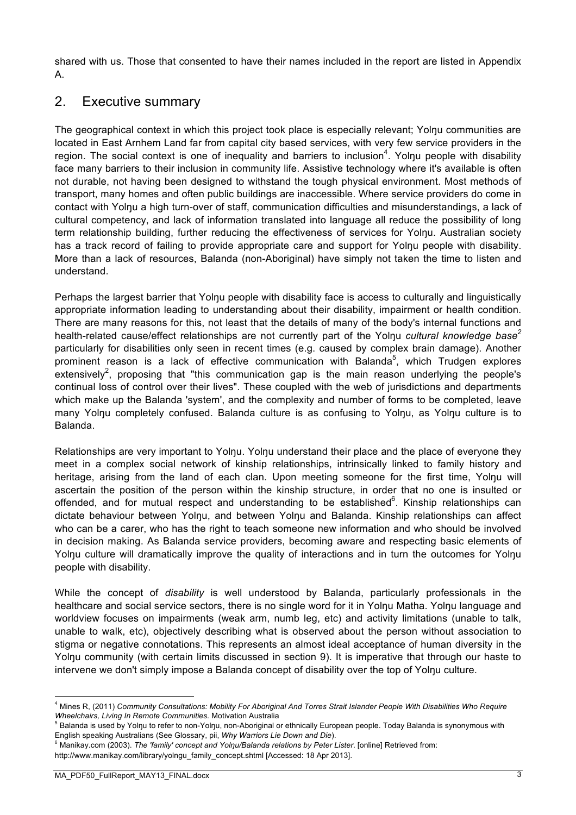shared with us. Those that consented to have their names included in the report are listed in Appendix A.

## 2. Executive summary

The geographical context in which this project took place is especially relevant; Yolnu communities are located in East Arnhem Land far from capital city based services, with very few service providers in the region. The social context is one of inequality and barriers to inclusion<sup>4</sup>. Yolnu people with disability face many barriers to their inclusion in community life. Assistive technology where it's available is often not durable, not having been designed to withstand the tough physical environment. Most methods of transport, many homes and often public buildings are inaccessible. Where service providers do come in contact with Yolnu a high turn-over of staff, communication difficulties and misunderstandings, a lack of cultural competency, and lack of information translated into language all reduce the possibility of long term relationship building, further reducing the effectiveness of services for Yolnu. Australian society has a track record of failing to provide appropriate care and support for Yolnu people with disability. More than a lack of resources, Balanda (non-Aboriginal) have simply not taken the time to listen and understand.

Perhaps the largest barrier that Yolnu people with disability face is access to culturally and linguistically appropriate information leading to understanding about their disability, impairment or health condition. There are many reasons for this, not least that the details of many of the body's internal functions and health-related cause/effect relationships are not currently part of the Yolnu *cultural knowledge base*<sup>2</sup> particularly for disabilities only seen in recent times (e.g. caused by complex brain damage). Another prominent reason is a lack of effective communication with Balanda<sup>5</sup>, which Trudgen explores extensively<sup>2</sup>, proposing that "this communication gap is the main reason underlying the people's continual loss of control over their lives". These coupled with the web of jurisdictions and departments which make up the Balanda 'system', and the complexity and number of forms to be completed, leave many Yolnu completely confused. Balanda culture is as confusing to Yolnu, as Yolnu culture is to Balanda.

Relationships are very important to Yolnu. Yolnu understand their place and the place of everyone they meet in a complex social network of kinship relationships, intrinsically linked to family history and heritage, arising from the land of each clan. Upon meeting someone for the first time. Yolnu will ascertain the position of the person within the kinship structure, in order that no one is insulted or offended, and for mutual respect and understanding to be established<sup>6</sup>. Kinship relationships can dictate behaviour between Yolnu, and between Yolnu and Balanda. Kinship relationships can affect who can be a carer, who has the right to teach someone new information and who should be involved in decision making. As Balanda service providers, becoming aware and respecting basic elements of Yolnu culture will dramatically improve the quality of interactions and in turn the outcomes for Yolnu people with disability.

While the concept of *disability* is well understood by Balanda, particularly professionals in the healthcare and social service sectors, there is no single word for it in Yolnu Matha. Yolnu language and worldview focuses on impairments (weak arm, numb leg, etc) and activity limitations (unable to talk, unable to walk, etc), objectively describing what is observed about the person without association to stigma or negative connotations. This represents an almost ideal acceptance of human diversity in the Yolnu community (with certain limits discussed in section 9). It is imperative that through our haste to intervene we don't simply impose a Balanda concept of disability over the top of Yolnu culture.

 <sup>4</sup> Mines R, (2011) *Community Consultations: Mobility For Aboriginal And Torres Strait Islander People With Disabilities Who Require Wheelchairs, Living In Remote Communities.* Motivation Australia

<sup>&</sup>lt;sup>5</sup> Balanda is used by Yolnu to refer to non-Yolnu, non-Aboriginal or ethnically European people. Today Balanda is synonymous with English speaking Australians (See Glossary, pii, *Why Warriors Lie Down and Die*).

<sup>6</sup> Manikay.com (2003). *The 'family' concept and Yolŋu/Balanda relations by Peter Lister*. [online] Retrieved from:

http://www.manikay.com/library/yolngu\_family\_concept.shtml [Accessed: 18 Apr 2013].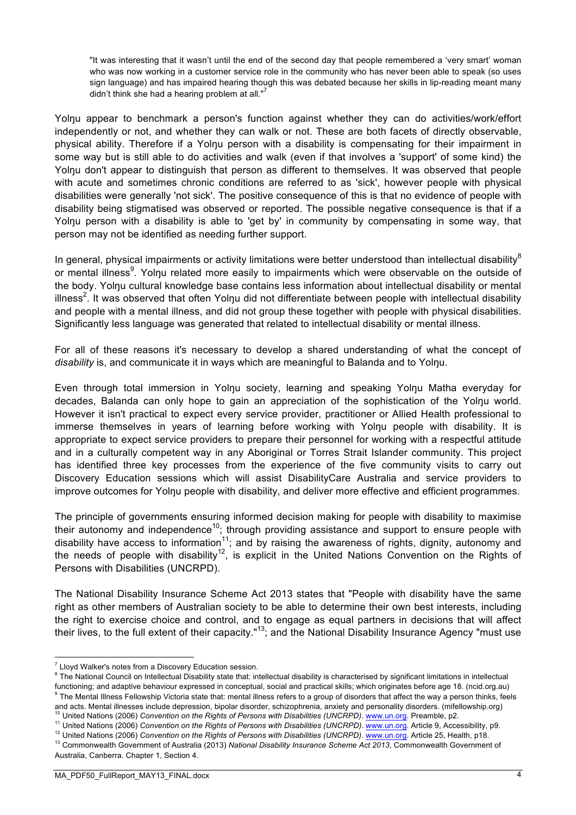"It was interesting that it wasn't until the end of the second day that people remembered a 'very smart' woman who was now working in a customer service role in the community who has never been able to speak (so uses sign language) and has impaired hearing though this was debated because her skills in lip-reading meant many didn't think she had a hearing problem at all. $"$ 

Yolnu appear to benchmark a person's function against whether they can do activities/work/effort independently or not, and whether they can walk or not. These are both facets of directly observable, physical ability. Therefore if a Yolnu person with a disability is compensating for their impairment in some way but is still able to do activities and walk (even if that involves a 'support' of some kind) the Yolnu don't appear to distinguish that person as different to themselves. It was observed that people with acute and sometimes chronic conditions are referred to as 'sick', however people with physical disabilities were generally 'not sick'. The positive consequence of this is that no evidence of people with disability being stigmatised was observed or reported. The possible negative consequence is that if a Yolnu person with a disability is able to 'get by' in community by compensating in some way, that person may not be identified as needing further support.

In general, physical impairments or activity limitations were better understood than intellectual disability<sup>8</sup> or mental illness<sup>9</sup>. Yolŋu related more easily to impairments which were observable on the outside of the body. Yolnu cultural knowledge base contains less information about intellectual disability or mental illness<sup>2</sup>. It was observed that often Yolŋu did not differentiate between people with intellectual disability and people with a mental illness, and did not group these together with people with physical disabilities. Significantly less language was generated that related to intellectual disability or mental illness.

For all of these reasons it's necessary to develop a shared understanding of what the concept of *disability* is, and communicate it in ways which are meaningful to Balanda and to Yolŋu.

Even through total immersion in Yolnu society, learning and speaking Yolnu Matha everyday for decades, Balanda can only hope to gain an appreciation of the sophistication of the Yolnu world. However it isn't practical to expect every service provider, practitioner or Allied Health professional to immerse themselves in years of learning before working with Yolnu people with disability. It is appropriate to expect service providers to prepare their personnel for working with a respectful attitude and in a culturally competent way in any Aboriginal or Torres Strait Islander community. This project has identified three key processes from the experience of the five community visits to carry out Discovery Education sessions which will assist DisabilityCare Australia and service providers to improve outcomes for Yolnu people with disability, and deliver more effective and efficient programmes.

The principle of governments ensuring informed decision making for people with disability to maximise their autonomy and independence<sup>10</sup>; through providing assistance and support to ensure people with disability have access to information<sup>11</sup>; and by raising the awareness of rights, dignity, autonomy and the needs of people with disability<sup>12</sup>, is explicit in the United Nations Convention on the Rights of Persons with Disabilities (UNCRPD).

The National Disability Insurance Scheme Act 2013 states that "People with disability have the same right as other members of Australian society to be able to determine their own best interests, including the right to exercise choice and control, and to engage as equal partners in decisions that will affect their lives, to the full extent of their capacity."13; and the National Disability Insurance Agency "must use

<sup>10</sup> United Nations (2006) *Convention on the Rights of Persons with Disabilities (UNCRPD). www.un.org. Preamble, p2.* 

- <sup>11</sup> United Nations (2006) *Convention on the Rights of Persons with Disabilities (UNCRPD)*. www.un.org. Article 9, Accessibility, p9.
- <sup>12</sup> United Nations (2006) *Convention on the Rights of Persons with Disabilities (UNCRPD). www.un.org.* Article 25, Health, p18.

 $7$  Llovd Walker's notes from a Discovery Education session.

<sup>&</sup>lt;sup>8</sup> The National Council on Intellectual Disability state that: intellectual disability is characterised by significant limitations in intellectual functioning; and adaptive behaviour expressed in conceptual, social and practical skills; which originates before age 18. (ncid.org.au) The Mental Illness Fellowship Victoria state that: mental illness refers to a group of disorders that affect the way a person thinks, feels and acts. Mental illnesses include depression, bipolar disorder, schizophrenia, anxiety and personality disorders. (mifellowship.org)

<sup>13</sup> Commonwealth Government of Australia (2013) *National Disability Insurance Scheme Act 2013*, Commonwealth Government of Australia, Canberra. Chapter 1, Section 4.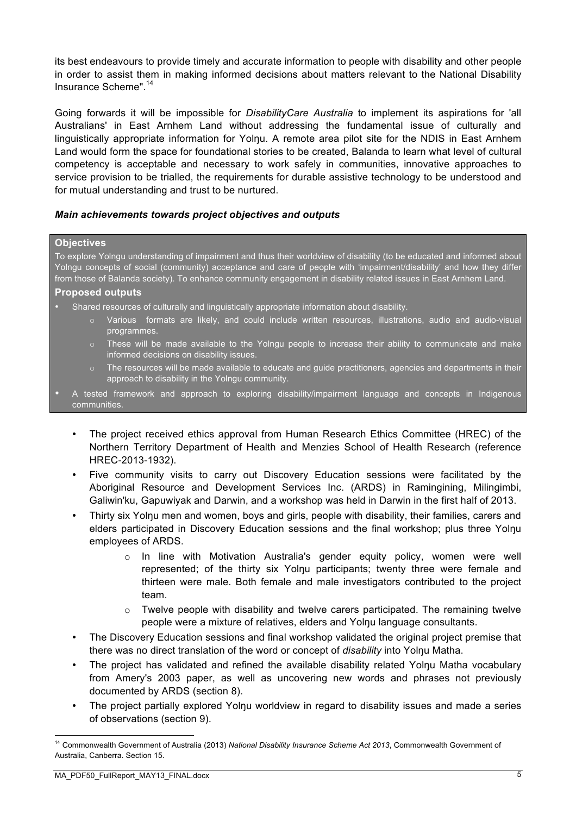its best endeavours to provide timely and accurate information to people with disability and other people in order to assist them in making informed decisions about matters relevant to the National Disability Insurance Scheme".14

Going forwards it will be impossible for *DisabilityCare Australia* to implement its aspirations for 'all Australians' in East Arnhem Land without addressing the fundamental issue of culturally and linguistically appropriate information for Yolŋu. A remote area pilot site for the NDIS in East Arnhem Land would form the space for foundational stories to be created, Balanda to learn what level of cultural competency is acceptable and necessary to work safely in communities, innovative approaches to service provision to be trialled, the requirements for durable assistive technology to be understood and for mutual understanding and trust to be nurtured.

#### *Main achievements towards project objectives and outputs*

#### **Objectives**

To explore Yolngu understanding of impairment and thus their worldview of disability (to be educated and informed about Yolngu concepts of social (community) acceptance and care of people with 'impairment/disability' and how they differ from those of Balanda society). To enhance community engagement in disability related issues in East Arnhem Land.

#### **Proposed outputs**

- Shared resources of culturally and linguistically appropriate information about disability.
	- o Various formats are likely, and could include written resources, illustrations, audio and audio-visual programmes.
	- o These will be made available to the Yolngu people to increase their ability to communicate and make informed decisions on disability issues.
	- The resources will be made available to educate and quide practitioners, agencies and departments in their approach to disability in the Yolngu community.
- A tested framework and approach to exploring disability/impairment language and concepts in Indigenous communities.
	- The project received ethics approval from Human Research Ethics Committee (HREC) of the Northern Territory Department of Health and Menzies School of Health Research (reference HREC-2013-1932).
	- Five community visits to carry out Discovery Education sessions were facilitated by the Aboriginal Resource and Development Services Inc. (ARDS) in Ramingining, Milingimbi, Galiwin'ku, Gapuwiyak and Darwin, and a workshop was held in Darwin in the first half of 2013.
	- Thirty six Yolnu men and women, boys and girls, people with disability, their families, carers and elders participated in Discovery Education sessions and the final workshop; plus three Yolnu employees of ARDS.
		- o In line with Motivation Australia's gender equity policy, women were well represented; of the thirty six Yolnu participants; twenty three were female and thirteen were male. Both female and male investigators contributed to the project team.
		- $\circ$  Twelve people with disability and twelve carers participated. The remaining twelve people were a mixture of relatives, elders and Yolnu language consultants.
	- The Discovery Education sessions and final workshop validated the original project premise that there was no direct translation of the word or concept of *disability* into Yolŋu Matha.
	- The project has validated and refined the available disability related Yolnu Matha vocabulary from Amery's 2003 paper, as well as uncovering new words and phrases not previously documented by ARDS (section 8).
	- The project partially explored Yolnu worldview in regard to disability issues and made a series of observations (section 9).

 <sup>14</sup> Commonwealth Government of Australia (2013) *National Disability Insurance Scheme Act 2013*, Commonwealth Government of Australia, Canberra. Section 15.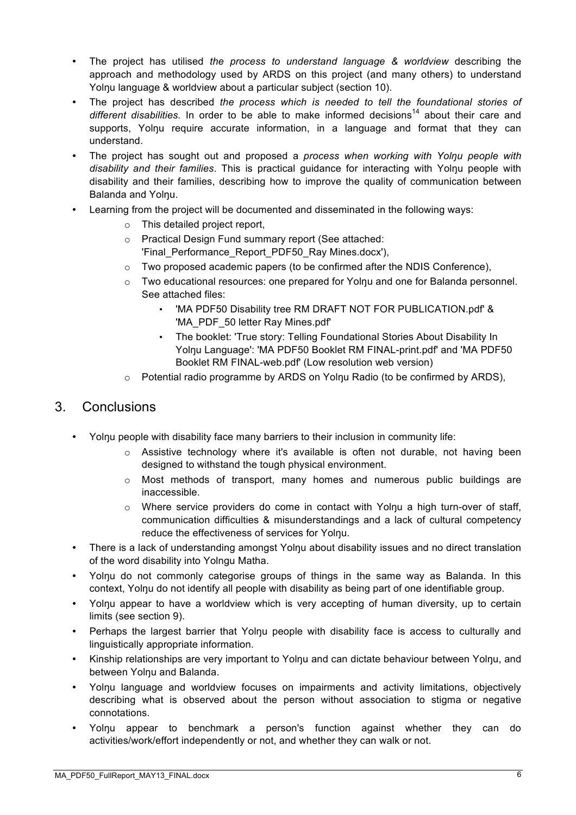- The project has utilised *the process to understand language & worldview* describing the approach and methodology used by ARDS on this project (and many others) to understand Yolnu language & worldview about a particular subject (section 10).
- The project has described *the process which is needed to tell the foundational stories of*  different disabilities. In order to be able to make informed decisions<sup>14</sup> about their care and supports. Yolnu require accurate information, in a language and format that they can understand.
- The project has sought out and proposed a *process when working with Yolŋu people with disability and their families*. This is practical guidance for interacting with Yolnu people with disability and their families, describing how to improve the quality of communication between Balanda and Yolnu.
- Learning from the project will be documented and disseminated in the following ways:
	- o This detailed project report,
	- o Practical Design Fund summary report (See attached:
		- 'Final Performance Report PDF50 Ray Mines.docx'),
	- $\circ$  Two proposed academic papers (to be confirmed after the NDIS Conference).
	- o Two educational resources: one prepared for Yolŋu and one for Balanda personnel. See attached files:
		- 'MA PDF50 Disability tree RM DRAFT NOT FOR PUBLICATION.pdf' & 'MA\_PDF\_50 letter Ray Mines.pdf'
		- The booklet: 'True story: Telling Foundational Stories About Disability In Yolŋu Language': 'MA PDF50 Booklet RM FINAL-print.pdf' and 'MA PDF50 Booklet RM FINAL-web.pdf' (Low resolution web version)
	- o Potential radio programme by ARDS on Yolŋu Radio (to be confirmed by ARDS),

### 3. Conclusions

- Yolŋu people with disability face many barriers to their inclusion in community life:
	- o Assistive technology where it's available is often not durable, not having been designed to withstand the tough physical environment.
	- o Most methods of transport, many homes and numerous public buildings are inaccessible.
	- o Where service providers do come in contact with Yolŋu a high turn-over of staff, communication difficulties & misunderstandings and a lack of cultural competency reduce the effectiveness of services for Yolnu.
- There is a lack of understanding amongst Yolnu about disability issues and no direct translation of the word disability into Yolngu Matha.
- Yolnu do not commonly categorise groups of things in the same way as Balanda. In this context, Yolnu do not identify all people with disability as being part of one identifiable group.
- Yolnu appear to have a worldview which is very accepting of human diversity, up to certain limits (see section 9).
- Perhaps the largest barrier that Yolnu people with disability face is access to culturally and linguistically appropriate information.
- Kinship relationships are very important to Yolnu and can dictate behaviour between Yolnu, and between Yolnu and Balanda.
- Yolŋu language and worldview focuses on impairments and activity limitations, objectively describing what is observed about the person without association to stigma or negative connotations.
- Yolnu appear to benchmark a person's function against whether they can do activities/work/effort independently or not, and whether they can walk or not.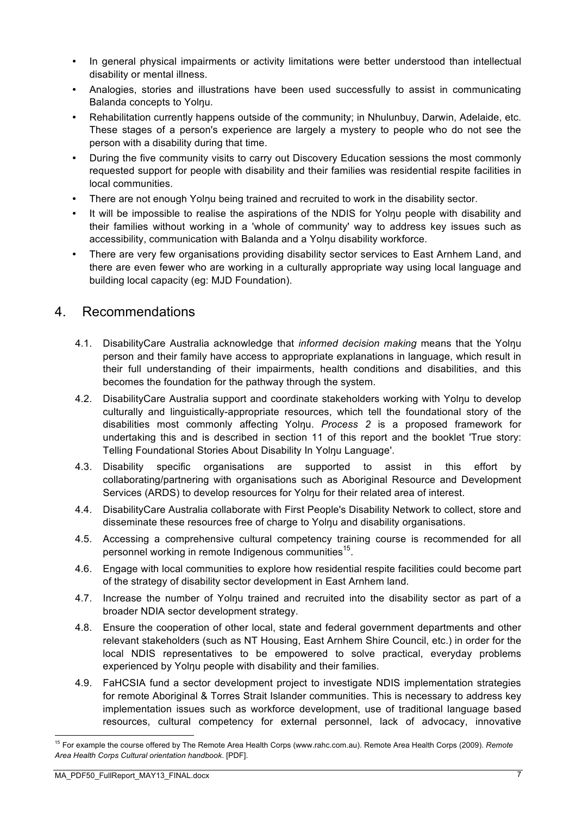- In general physical impairments or activity limitations were better understood than intellectual disability or mental illness.
- Analogies, stories and illustrations have been used successfully to assist in communicating Balanda concepts to Yolnu.
- Rehabilitation currently happens outside of the community; in Nhulunbuy, Darwin, Adelaide, etc. These stages of a person's experience are largely a mystery to people who do not see the person with a disability during that time.
- During the five community visits to carry out Discovery Education sessions the most commonly requested support for people with disability and their families was residential respite facilities in local communities.
- There are not enough Yolnu being trained and recruited to work in the disability sector.
- It will be impossible to realise the aspirations of the NDIS for Yolnu people with disability and their families without working in a 'whole of community' way to address key issues such as accessibility, communication with Balanda and a Yolŋu disability workforce.
- There are very few organisations providing disability sector services to East Arnhem Land, and there are even fewer who are working in a culturally appropriate way using local language and building local capacity (eg: MJD Foundation).

## 4. Recommendations

- 4.1. DisabilityCare Australia acknowledge that *informed decision making* means that the Yolŋu person and their family have access to appropriate explanations in language, which result in their full understanding of their impairments, health conditions and disabilities, and this becomes the foundation for the pathway through the system.
- 4.2. DisabilityCare Australia support and coordinate stakeholders working with Yolnu to develop culturally and linguistically-appropriate resources, which tell the foundational story of the disabilities most commonly affecting Yolŋu. *Process 2* is a proposed framework for undertaking this and is described in section 11 of this report and the booklet 'True story: Telling Foundational Stories About Disability In Yolŋu Language'.
- 4.3. Disability specific organisations are supported to assist in this effort by collaborating/partnering with organisations such as Aboriginal Resource and Development Services (ARDS) to develop resources for Yolnu for their related area of interest.
- 4.4. DisabilityCare Australia collaborate with First People's Disability Network to collect, store and disseminate these resources free of charge to Yolnu and disability organisations.
- 4.5. Accessing a comprehensive cultural competency training course is recommended for all personnel working in remote Indigenous communities<sup>15</sup>.
- 4.6. Engage with local communities to explore how residential respite facilities could become part of the strategy of disability sector development in East Arnhem land.
- 4.7. Increase the number of Yolnu trained and recruited into the disability sector as part of a broader NDIA sector development strategy.
- 4.8. Ensure the cooperation of other local, state and federal government departments and other relevant stakeholders (such as NT Housing, East Arnhem Shire Council, etc.) in order for the local NDIS representatives to be empowered to solve practical, everyday problems experienced by Yolnu people with disability and their families.
- 4.9. FaHCSIA fund a sector development project to investigate NDIS implementation strategies for remote Aboriginal & Torres Strait Islander communities. This is necessary to address key implementation issues such as workforce development, use of traditional language based resources, cultural competency for external personnel, lack of advocacy, innovative

 <sup>15</sup> For example the course offered by The Remote Area Health Corps (www.rahc.com.au). Remote Area Health Corps (2009). *Remote Area Health Corps Cultural orientation handbook*. [PDF].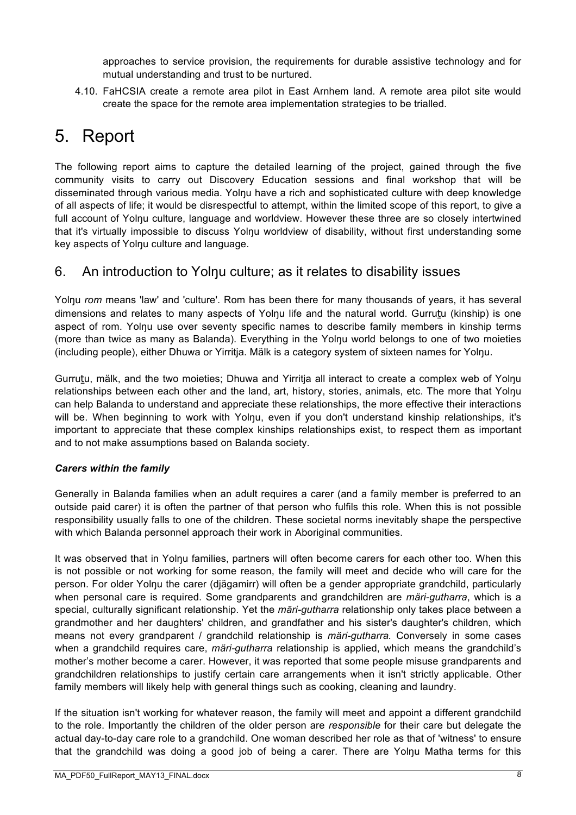approaches to service provision, the requirements for durable assistive technology and for mutual understanding and trust to be nurtured.

4.10. FaHCSIA create a remote area pilot in East Arnhem land. A remote area pilot site would create the space for the remote area implementation strategies to be trialled.

# 5. Report

The following report aims to capture the detailed learning of the project, gained through the five community visits to carry out Discovery Education sessions and final workshop that will be disseminated through various media. Yolnu have a rich and sophisticated culture with deep knowledge of all aspects of life; it would be disrespectful to attempt, within the limited scope of this report, to give a full account of Yolnu culture, language and worldview. However these three are so closely intertwined that it's virtually impossible to discuss Yolŋu worldview of disability, without first understanding some key aspects of Yolnu culture and language.

# 6. An introduction to Yolnu culture; as it relates to disability issues

Yolnu *rom* means 'law' and 'culture'. Rom has been there for many thousands of years, it has several dimensions and relates to many aspects of Yolnu life and the natural world. Gurrutu (kinship) is one aspect of rom. Yolnu use over seventy specific names to describe family members in kinship terms (more than twice as many as Balanda). Everything in the Yolŋu world belongs to one of two moieties (including people), either Dhuwa or Yirritja. Mälk is a category system of sixteen names for Yolŋu.

Gurruṯu, mälk, and the two moieties; Dhuwa and Yirritja all interact to create a complex web of Yolŋu relationships between each other and the land, art, history, stories, animals, etc. The more that Yolnu can help Balanda to understand and appreciate these relationships, the more effective their interactions will be. When beginning to work with Yolnu, even if you don't understand kinship relationships, it's important to appreciate that these complex kinships relationships exist, to respect them as important and to not make assumptions based on Balanda society.

### *Carers within the family*

Generally in Balanda families when an adult requires a carer (and a family member is preferred to an outside paid carer) it is often the partner of that person who fulfils this role. When this is not possible responsibility usually falls to one of the children. These societal norms inevitably shape the perspective with which Balanda personnel approach their work in Aboriginal communities.

It was observed that in Yolnu families, partners will often become carers for each other too. When this is not possible or not working for some reason, the family will meet and decide who will care for the person. For older Yolnu the carer (diägamirr) will often be a gender appropriate grandchild, particularly when personal care is required. Some grandparents and grandchildren are *märi-gutharra*, which is a special, culturally significant relationship. Yet the *märi-gutharra* relationship only takes place between a grandmother and her daughters' children, and grandfather and his sister's daughter's children, which means not every grandparent / grandchild relationship is *märi-gutharra.* Conversely in some cases when a grandchild requires care, *märi-gutharra* relationship is applied, which means the grandchild's mother's mother become a carer. However, it was reported that some people misuse grandparents and grandchildren relationships to justify certain care arrangements when it isn't strictly applicable. Other family members will likely help with general things such as cooking, cleaning and laundry.

If the situation isn't working for whatever reason, the family will meet and appoint a different grandchild to the role. Importantly the children of the older person are *responsible* for their care but delegate the actual day-to-day care role to a grandchild. One woman described her role as that of 'witness' to ensure that the grandchild was doing a good job of being a carer. There are Yolŋu Matha terms for this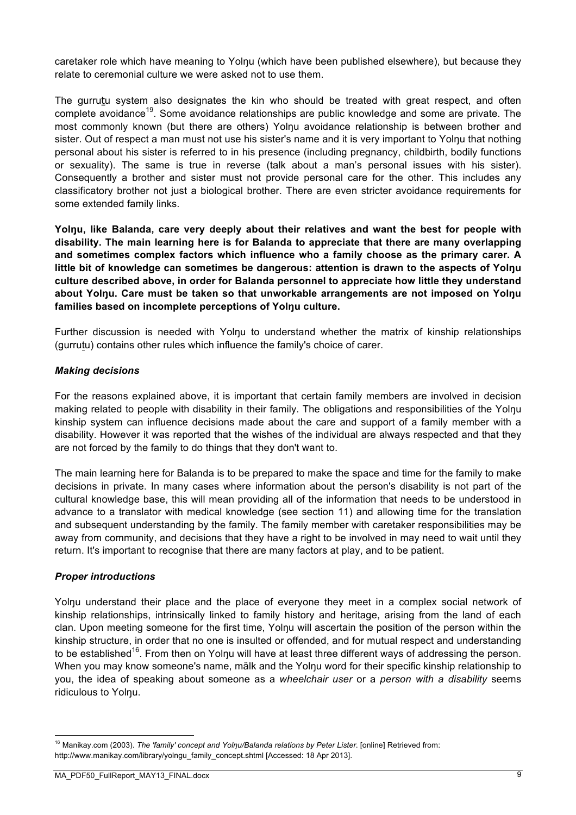caretaker role which have meaning to Yolnu (which have been published elsewhere), but because they relate to ceremonial culture we were asked not to use them.

The gurrutu system also designates the kin who should be treated with great respect, and often complete avoidance<sup>19</sup>. Some avoidance relationships are public knowledge and some are private. The most commonly known (but there are others) Yolŋu avoidance relationship is between brother and sister. Out of respect a man must not use his sister's name and it is very important to Yolnu that nothing personal about his sister is referred to in his presence (including pregnancy, childbirth, bodily functions or sexuality). The same is true in reverse (talk about a man's personal issues with his sister). Consequently a brother and sister must not provide personal care for the other. This includes any classificatory brother not just a biological brother. There are even stricter avoidance requirements for some extended family links.

**Yolŋu, like Balanda, care very deeply about their relatives and want the best for people with disability. The main learning here is for Balanda to appreciate that there are many overlapping and sometimes complex factors which influence who a family choose as the primary carer. A little bit of knowledge can sometimes be dangerous: attention is drawn to the aspects of Yolŋu culture described above, in order for Balanda personnel to appreciate how little they understand about Yolŋu. Care must be taken so that unworkable arrangements are not imposed on Yolŋu families based on incomplete perceptions of Yolŋu culture.**

Further discussion is needed with Yolŋu to understand whether the matrix of kinship relationships (gurrutu) contains other rules which influence the family's choice of carer.

#### *Making decisions*

For the reasons explained above, it is important that certain family members are involved in decision making related to people with disability in their family. The obligations and responsibilities of the Yolnu kinship system can influence decisions made about the care and support of a family member with a disability. However it was reported that the wishes of the individual are always respected and that they are not forced by the family to do things that they don't want to.

The main learning here for Balanda is to be prepared to make the space and time for the family to make decisions in private. In many cases where information about the person's disability is not part of the cultural knowledge base, this will mean providing all of the information that needs to be understood in advance to a translator with medical knowledge (see section 11) and allowing time for the translation and subsequent understanding by the family. The family member with caretaker responsibilities may be away from community, and decisions that they have a right to be involved in may need to wait until they return. It's important to recognise that there are many factors at play, and to be patient.

#### *Proper introductions*

Yolnu understand their place and the place of everyone they meet in a complex social network of kinship relationships, intrinsically linked to family history and heritage, arising from the land of each clan. Upon meeting someone for the first time, Yolnu will ascertain the position of the person within the kinship structure, in order that no one is insulted or offended, and for mutual respect and understanding to be established<sup>16</sup>. From then on Yolnu will have at least three different ways of addressing the person. When you may know someone's name, mälk and the Yolnu word for their specific kinship relationship to you, the idea of speaking about someone as a *wheelchair user* or a *person with a disability* seems ridiculous to Yolŋu.

<sup>&</sup>lt;sup>16</sup> Manikay.com (2003). *The 'family' concept and Yolŋu/Balanda relations by Peter Lister*. [online] Retrieved from: http://www.manikay.com/library/yolngu\_family\_concept.shtml [Accessed: 18 Apr 2013].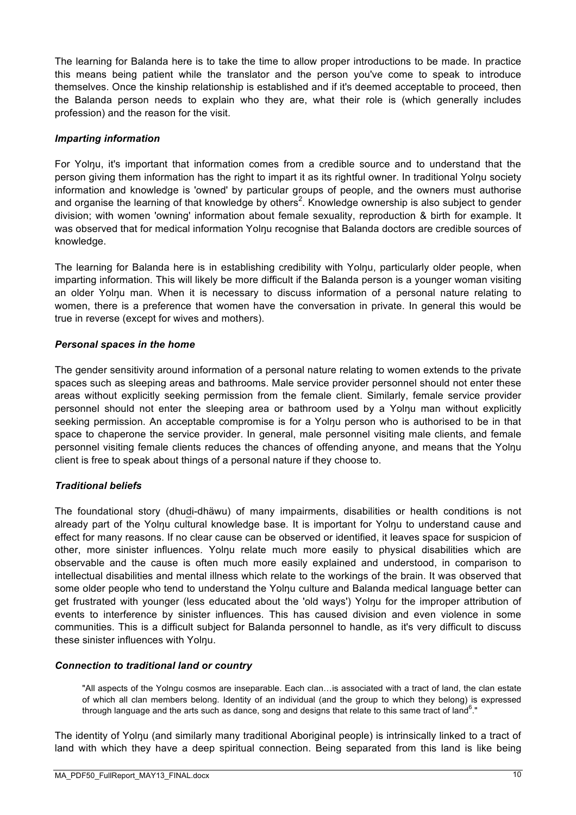The learning for Balanda here is to take the time to allow proper introductions to be made. In practice this means being patient while the translator and the person you've come to speak to introduce themselves. Once the kinship relationship is established and if it's deemed acceptable to proceed, then the Balanda person needs to explain who they are, what their role is (which generally includes profession) and the reason for the visit.

#### *Imparting information*

For Yolnu, it's important that information comes from a credible source and to understand that the person giving them information has the right to impart it as its rightful owner. In traditional Yolnu society information and knowledge is 'owned' by particular groups of people, and the owners must authorise and organise the learning of that knowledge by others<sup>2</sup>. Knowledge ownership is also subject to gender division; with women 'owning' information about female sexuality, reproduction & birth for example. It was observed that for medical information Yolnu recognise that Balanda doctors are credible sources of knowledge.

The learning for Balanda here is in establishing credibility with Yolnu, particularly older people, when imparting information. This will likely be more difficult if the Balanda person is a younger woman visiting an older Yolnu man. When it is necessary to discuss information of a personal nature relating to women, there is a preference that women have the conversation in private. In general this would be true in reverse (except for wives and mothers).

#### *Personal spaces in the home*

The gender sensitivity around information of a personal nature relating to women extends to the private spaces such as sleeping areas and bathrooms. Male service provider personnel should not enter these areas without explicitly seeking permission from the female client. Similarly, female service provider personnel should not enter the sleeping area or bathroom used by a Yolŋu man without explicitly seeking permission. An acceptable compromise is for a Yolnu person who is authorised to be in that space to chaperone the service provider. In general, male personnel visiting male clients, and female personnel visiting female clients reduces the chances of offending anyone, and means that the Yolnu client is free to speak about things of a personal nature if they choose to.

#### *Traditional beliefs*

The foundational story (dhudi-dhäwu) of many impairments, disabilities or health conditions is not already part of the Yolnu cultural knowledge base. It is important for Yolnu to understand cause and effect for many reasons. If no clear cause can be observed or identified, it leaves space for suspicion of other, more sinister influences. Yolnu relate much more easily to physical disabilities which are observable and the cause is often much more easily explained and understood, in comparison to intellectual disabilities and mental illness which relate to the workings of the brain. It was observed that some older people who tend to understand the Yolnu culture and Balanda medical language better can get frustrated with younger (less educated about the 'old ways') Yolnu for the improper attribution of events to interference by sinister influences. This has caused division and even violence in some communities. This is a difficult subject for Balanda personnel to handle, as it's very difficult to discuss these sinister influences with Yolŋu.

#### *Connection to traditional land or country*

"All aspects of the Yolngu cosmos are inseparable. Each clan…is associated with a tract of land, the clan estate of which all clan members belong. Identity of an individual (and the group to which they belong) is expressed through language and the arts such as dance, song and designs that relate to this same tract of land<sup>6</sup>."

The identity of Yolŋu (and similarly many traditional Aboriginal people) is intrinsically linked to a tract of land with which they have a deep spiritual connection. Being separated from this land is like being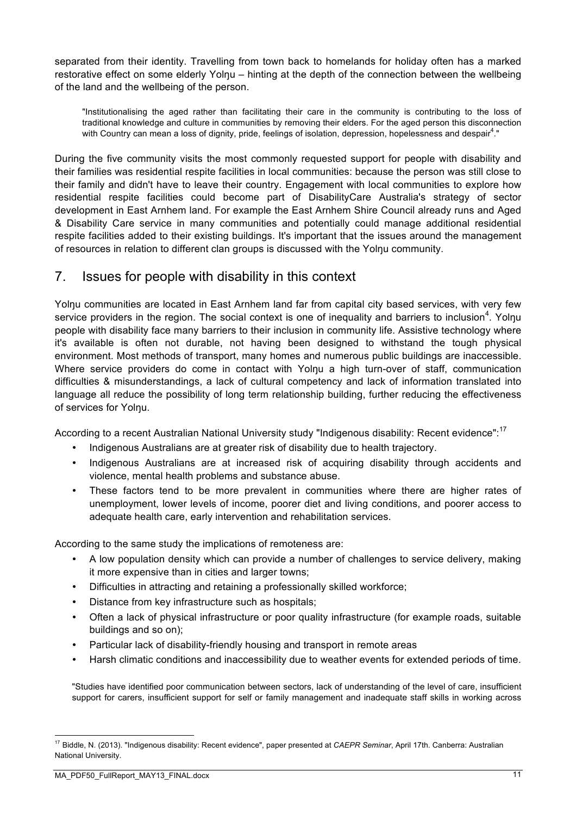separated from their identity. Travelling from town back to homelands for holiday often has a marked restorative effect on some elderly Yolnu – hinting at the depth of the connection between the wellbeing of the land and the wellbeing of the person.

"Institutionalising the aged rather than facilitating their care in the community is contributing to the loss of traditional knowledge and culture in communities by removing their elders. For the aged person this disconnection with Country can mean a loss of dignity, pride, feelings of isolation, depression, hopelessness and despair<sup>4</sup>."

During the five community visits the most commonly requested support for people with disability and their families was residential respite facilities in local communities: because the person was still close to their family and didn't have to leave their country. Engagement with local communities to explore how residential respite facilities could become part of DisabilityCare Australia's strategy of sector development in East Arnhem land. For example the East Arnhem Shire Council already runs and Aged & Disability Care service in many communities and potentially could manage additional residential respite facilities added to their existing buildings. It's important that the issues around the management of resources in relation to different clan groups is discussed with the Yolŋu community.

## 7. Issues for people with disability in this context

Yolnu communities are located in East Arnhem land far from capital city based services, with very few service providers in the region. The social context is one of inequality and barriers to inclusion<sup>4</sup>. Yolŋu people with disability face many barriers to their inclusion in community life. Assistive technology where it's available is often not durable, not having been designed to withstand the tough physical environment. Most methods of transport, many homes and numerous public buildings are inaccessible. Where service providers do come in contact with Yolnu a high turn-over of staff, communication difficulties & misunderstandings, a lack of cultural competency and lack of information translated into language all reduce the possibility of long term relationship building, further reducing the effectiveness of services for Yolnu.

According to a recent Australian National University study "Indigenous disability: Recent evidence":<sup>17</sup>

- Indigenous Australians are at greater risk of disability due to health trajectory.
- Indigenous Australians are at increased risk of acquiring disability through accidents and violence, mental health problems and substance abuse.
- These factors tend to be more prevalent in communities where there are higher rates of unemployment, lower levels of income, poorer diet and living conditions, and poorer access to adequate health care, early intervention and rehabilitation services.

According to the same study the implications of remoteness are:

- A low population density which can provide a number of challenges to service delivery, making it more expensive than in cities and larger towns;
- Difficulties in attracting and retaining a professionally skilled workforce;
- Distance from key infrastructure such as hospitals;
- Often a lack of physical infrastructure or poor quality infrastructure (for example roads, suitable buildings and so on);
- Particular lack of disability-friendly housing and transport in remote areas
- Harsh climatic conditions and inaccessibility due to weather events for extended periods of time.

"Studies have identified poor communication between sectors, lack of understanding of the level of care, insufficient support for carers, insufficient support for self or family management and inadequate staff skills in working across

 <sup>17</sup> Biddle, N. (2013). "Indigenous disability: Recent evidence", paper presented at *CAEPR Seminar*, April 17th. Canberra: Australian National University.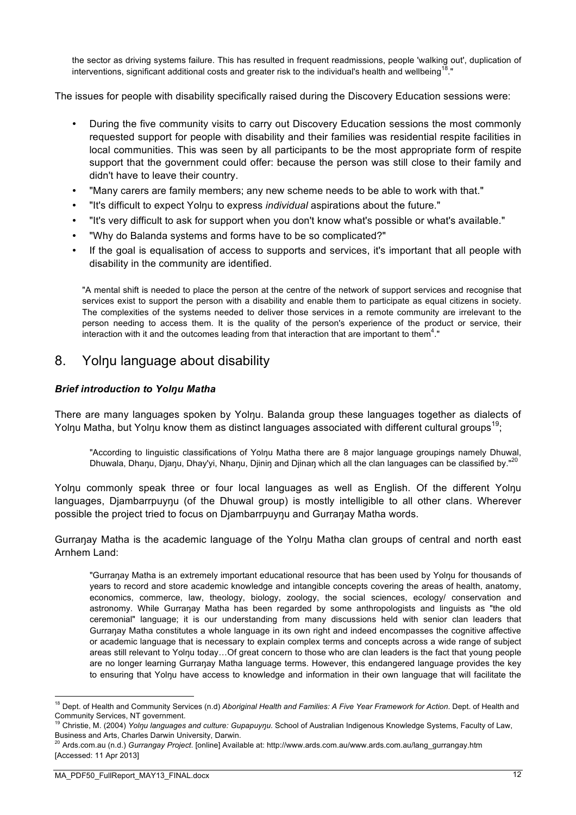the sector as driving systems failure. This has resulted in frequent readmissions, people 'walking out', duplication of interventions, significant additional costs and greater risk to the individual's health and wellbeing<sup>18</sup>."

The issues for people with disability specifically raised during the Discovery Education sessions were:

- During the five community visits to carry out Discovery Education sessions the most commonly requested support for people with disability and their families was residential respite facilities in local communities. This was seen by all participants to be the most appropriate form of respite support that the government could offer: because the person was still close to their family and didn't have to leave their country.
- "Many carers are family members; any new scheme needs to be able to work with that."
- "It's difficult to expect Yolŋu to express *individual* aspirations about the future."
- "It's very difficult to ask for support when you don't know what's possible or what's available."
- "Why do Balanda systems and forms have to be so complicated?"
- If the goal is equalisation of access to supports and services, it's important that all people with disability in the community are identified.

"A mental shift is needed to place the person at the centre of the network of support services and recognise that services exist to support the person with a disability and enable them to participate as equal citizens in society. The complexities of the systems needed to deliver those services in a remote community are irrelevant to the person needing to access them. It is the quality of the person's experience of the product or service, their interaction with it and the outcomes leading from that interaction that are important to them<sup>4</sup>."

## 8. Yolnu language about disability

#### *Brief introduction to Yolŋu Matha*

There are many languages spoken by Yolnu. Balanda group these languages together as dialects of Yolnu Matha, but Yolnu know them as distinct languages associated with different cultural groups<sup>19</sup>;

"According to linguistic classifications of Yolnu Matha there are 8 major language groupings namely Dhuwal, Dhuwala, Dhanu, Djanu, Dhay'yi, Nhanu, Djinin and Djinan which all the clan languages can be classified by."<sup>20</sup>

Yolnu commonly speak three or four local languages as well as English. Of the different Yolnu languages, Djambarrpuynu (of the Dhuwal group) is mostly intelligible to all other clans. Wherever possible the project tried to focus on Djambarrpuynu and Gurranay Matha words.

Gurranay Matha is the academic language of the Yolnu Matha clan groups of central and north east Arnhem Land:

"Gurraŋay Matha is an extremely important educational resource that has been used by Yolŋu for thousands of years to record and store academic knowledge and intangible concepts covering the areas of health, anatomy, economics, commerce, law, theology, biology, zoology, the social sciences, ecology/ conservation and astronomy. While Gurranay Matha has been regarded by some anthropologists and linguists as "the old ceremonial" language; it is our understanding from many discussions held with senior clan leaders that Gurraŋay Matha constitutes a whole language in its own right and indeed encompasses the cognitive affective or academic language that is necessary to explain complex terms and concepts across a wide range of subject areas still relevant to Yolnu today...Of great concern to those who are clan leaders is the fact that young people are no longer learning Gurranay Matha language terms. However, this endangered language provides the key to ensuring that Yolnu have access to knowledge and information in their own language that will facilitate the

 <sup>18</sup> Dept. of Health and Community Services (n.d) *Aboriginal Health and Families: A Five Year Framework for Action*. Dept. of Health and Community Services, NT government.

<sup>19</sup> Christie, M. (2004) *Yolŋu languages and culture: Gupapuyŋu*. School of Australian Indigenous Knowledge Systems, Faculty of Law, Business and Arts, Charles Darwin University, Darwin.

<sup>20</sup> Ards.com.au (n.d.) *Gurrangay Project*. [online] Available at: http://www.ards.com.au/www.ards.com.au/lang\_gurrangay.htm [Accessed: 11 Apr 2013]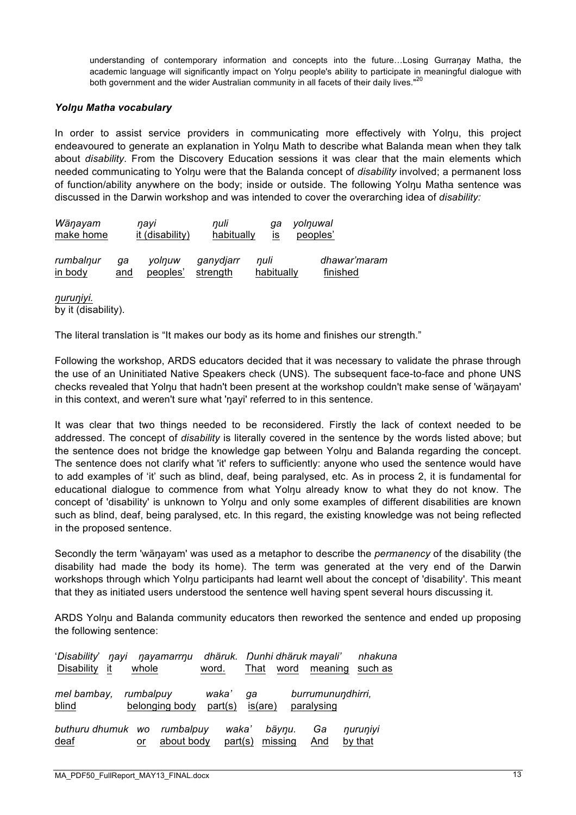understanding of contemporary information and concepts into the future...Losing Gurranay Matha, the academic language will significantly impact on Yolnu people's ability to participate in meaningful dialogue with both government and the wider Australian community in all facets of their daily lives."<sup>20</sup>

#### *Yolŋu Matha vocabulary*

In order to assist service providers in communicating more effectively with Yolnu, this project endeavoured to generate an explanation in Yolnu Math to describe what Balanda mean when they talk about *disability*. From the Discovery Education sessions it was clear that the main elements which needed communicating to Yolnu were that the Balanda concept of *disability* involved; a permanent loss of function/ability anywhere on the body; inside or outside. The following Yolŋu Matha sentence was discussed in the Darwin workshop and was intended to cover the overarching idea of *disability:*

| Wäŋayam   |     | navi            | nuli       | aa         | yolnuwal     |
|-----------|-----|-----------------|------------|------------|--------------|
| make home |     | it (disability) | habitually | IS         | peoples'     |
| rumbalnur | aa  | volnuw          | ganydjarr  | nuli       | dhawar'maram |
| in body   | and | peoples'        | strength   | habitually | finished     |

*ŋuruŋiyi.* by it (disability).

The literal translation is "It makes our body as its home and finishes our strength."

Following the workshop, ARDS educators decided that it was necessary to validate the phrase through the use of an Uninitiated Native Speakers check (UNS). The subsequent face-to-face and phone UNS checks revealed that Yolnu that hadn't been present at the workshop couldn't make sense of 'wänayam' in this context, and weren't sure what 'navi' referred to in this sentence.

It was clear that two things needed to be reconsidered. Firstly the lack of context needed to be addressed. The concept of *disability* is literally covered in the sentence by the words listed above; but the sentence does not bridge the knowledge gap between Yolnu and Balanda regarding the concept. The sentence does not clarify what 'it' refers to sufficiently: anyone who used the sentence would have to add examples of 'it' such as blind, deaf, being paralysed, etc. As in process 2, it is fundamental for educational dialogue to commence from what Yolnu already know to what they do not know. The concept of 'disability' is unknown to Yolnu and only some examples of different disabilities are known such as blind, deaf, being paralysed, etc. In this regard, the existing knowledge was not being reflected in the proposed sentence.

Secondly the term 'wäŋayam' was used as a metaphor to describe the *permanency* of the disability (the disability had made the body its home). The term was generated at the very end of the Darwin workshops through which Yolnu participants had learnt well about the concept of 'disability'. This meant that they as initiated users understood the sentence well having spent several hours discussing it.

ARDS Yolnu and Balanda community educators then reworked the sentence and ended up proposing the following sentence:

| 'Disability'<br>navi<br><b>Disability</b><br>it | whole     | nayamarrnu              | dhäruk.<br>word. | That          | word              | Dunhi dhäruk mayali'<br>meaning | nhakuna<br>such as  |
|-------------------------------------------------|-----------|-------------------------|------------------|---------------|-------------------|---------------------------------|---------------------|
| mel bambay,<br>blind                            | rumbalpuy | belonging body          | waka'<br>part(s) | qa<br>is(are) |                   | burrumunundhirri,<br>paralysing |                     |
| buthuru dhumuk wo<br>deaf                       | or        | rumbalpuv<br>about body | waka'<br>part(s) |               | bäynu.<br>missing | Ga<br>And                       | nuruniyi<br>by that |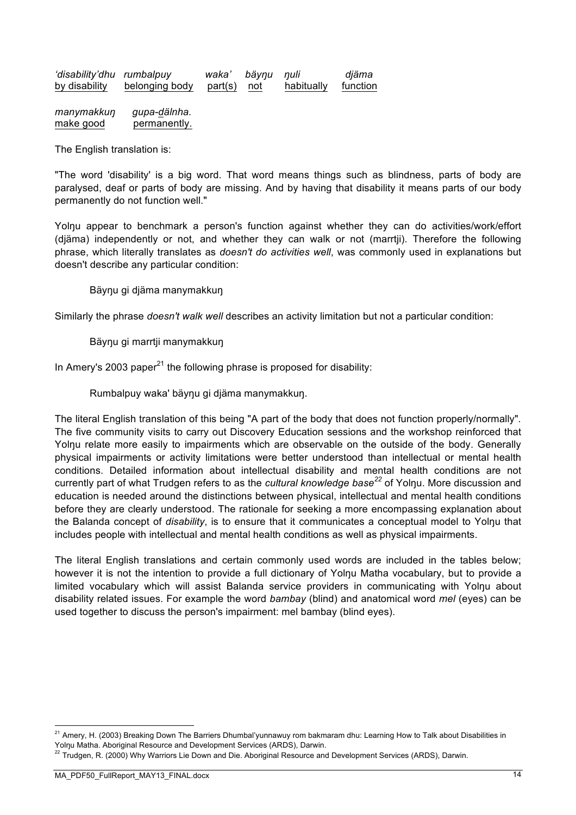| 'disability'dhu rumbalpuy |                | waka'       | bäynu nuli |            | diäma    |
|---------------------------|----------------|-------------|------------|------------|----------|
| by disability             | belonging body | part(s) not |            | habitually | function |

*manymakkuŋ gupa-dälnha.*  make good permanently.

The English translation is:

"The word 'disability' is a big word. That word means things such as blindness, parts of body are paralysed, deaf or parts of body are missing. And by having that disability it means parts of our body permanently do not function well."

Yolnu appear to benchmark a person's function against whether they can do activities/work/effort (djäma) independently or not, and whether they can walk or not (marrtji). Therefore the following phrase, which literally translates as *doesn't do activities well*, was commonly used in explanations but doesn't describe any particular condition:

#### Bäyŋu gi djäma manymakkuŋ

Similarly the phrase *doesn't walk well* describes an activity limitation but not a particular condition:

#### Bäynu gi marrtji manymakkun

In Amery's 2003 paper<sup>21</sup> the following phrase is proposed for disability:

Rumbalpuy waka' bäyŋu gi djäma manymakkuŋ.

The literal English translation of this being "A part of the body that does not function properly/normally". The five community visits to carry out Discovery Education sessions and the workshop reinforced that Yolnu relate more easily to impairments which are observable on the outside of the body. Generally physical impairments or activity limitations were better understood than intellectual or mental health conditions. Detailed information about intellectual disability and mental health conditions are not currently part of what Trudgen refers to as the *cultural knowledge base*<sup>22</sup> of Yolnu. More discussion and education is needed around the distinctions between physical, intellectual and mental health conditions before they are clearly understood. The rationale for seeking a more encompassing explanation about the Balanda concept of *disability*, is to ensure that it communicates a conceptual model to Yolŋu that includes people with intellectual and mental health conditions as well as physical impairments.

The literal English translations and certain commonly used words are included in the tables below; however it is not the intention to provide a full dictionary of Yolnu Matha vocabulary, but to provide a limited vocabulary which will assist Balanda service providers in communicating with Yolŋu about disability related issues. For example the word *bambay* (blind) and anatomical word *mel* (eyes) can be used together to discuss the person's impairment: mel bambay (blind eyes).

 $21$  Amery, H. (2003) Breaking Down The Barriers Dhumbal'yunnawuy rom bakmaram dhu: Learning How to Talk about Disabilities in Yolŋu Matha. Aboriginal Resource and Development Services (ARDS), Darwin.

 $^{22}$  Trudgen, R. (2000) Why Warriors Lie Down and Die. Aboriginal Resource and Development Services (ARDS), Darwin.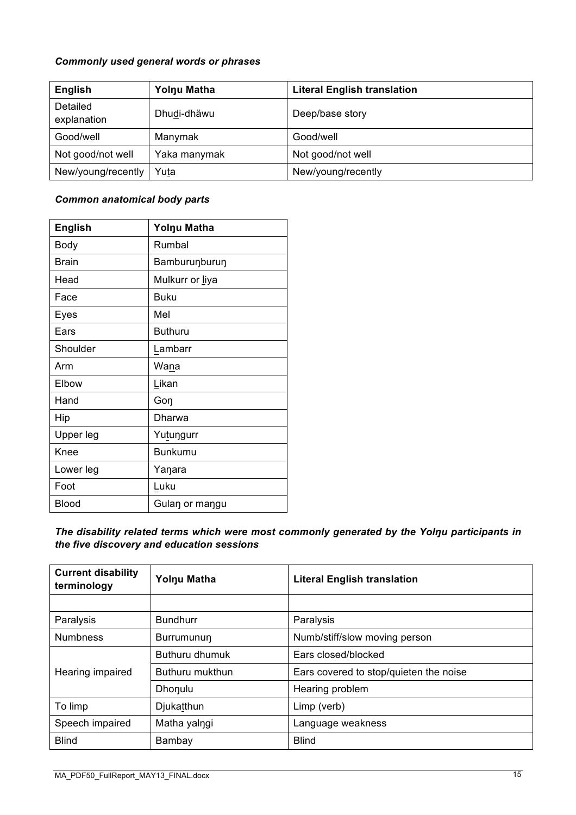#### *Commonly used general words or phrases*

| English                 | Yolnu Matha  | <b>Literal English translation</b> |
|-------------------------|--------------|------------------------------------|
| Detailed<br>explanation | Dhudi-dhäwu  | Deep/base story                    |
| Good/well               | Manymak      | Good/well                          |
| Not good/not well       | Yaka manymak | Not good/not well                  |
| New/young/recently      | Yuta         | New/young/recently                 |

#### *Common anatomical body parts*

| <b>English</b> | Yolnu Matha     |
|----------------|-----------------|
| Body           | Rumbal          |
| <b>Brain</b>   | Bamburunburun   |
| Head           | Mulkurr or liya |
| Face           | Buku            |
| Eyes           | Mel             |
| Ears           | <b>Buthuru</b>  |
| Shoulder       | Lambarr         |
| Arm            | Wana            |
| Elbow          | Likan           |
| Hand           | Gon             |
| Hip            | Dharwa          |
| Upper leg      | Yutungurr       |
| Knee           | <b>Bunkumu</b>  |
| Lower leg      | Yaŋara          |
| Foot           | Luku            |
| <b>Blood</b>   | Gulan or mangu  |

*The disability related terms which were most commonly generated by the Yolŋu participants in the five discovery and education sessions*

| <b>Current disability</b><br>terminology | Yolnu Matha     | <b>Literal English translation</b>     |
|------------------------------------------|-----------------|----------------------------------------|
|                                          |                 |                                        |
| Paralysis                                | <b>Bundhurr</b> | Paralysis                              |
| <b>Numbness</b>                          | Burrumunun      | Numb/stiff/slow moving person          |
|                                          | Buthuru dhumuk  | Ears closed/blocked                    |
| Hearing impaired                         | Buthuru mukthun | Ears covered to stop/quieten the noise |
|                                          | Dhonulu         | Hearing problem                        |
| To limp                                  | Djukatthun      | Limp (verb)                            |
| Speech impaired                          | Matha yalngi    | Language weakness                      |
| <b>Blind</b>                             | Bambay          | <b>Blind</b>                           |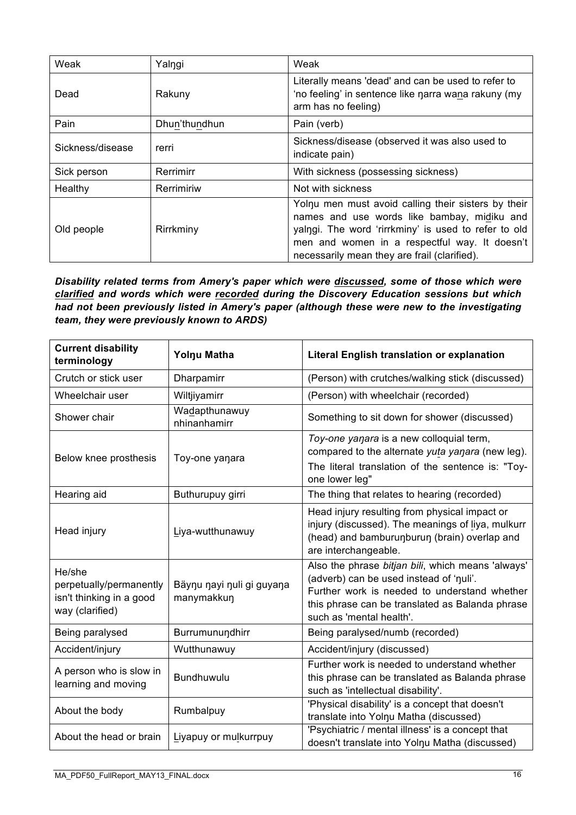| Weak             | Yalngi        | Weak                                                                                                                                                                                                                                                        |
|------------------|---------------|-------------------------------------------------------------------------------------------------------------------------------------------------------------------------------------------------------------------------------------------------------------|
| Dead             | Rakuny        | Literally means 'dead' and can be used to refer to<br>'no feeling' in sentence like narra wana rakuny (my<br>arm has no feeling)                                                                                                                            |
| Pain             | Dhun'thundhun | Pain (verb)                                                                                                                                                                                                                                                 |
| Sickness/disease | rerri         | Sickness/disease (observed it was also used to<br>indicate pain)                                                                                                                                                                                            |
| Sick person      | Rerrimirr     | With sickness (possessing sickness)                                                                                                                                                                                                                         |
| Healthy          | Rerrimiriw    | Not with sickness                                                                                                                                                                                                                                           |
| Old people       | Rirrkminy     | Yolnu men must avoid calling their sisters by their<br>names and use words like bambay, midiku and<br>yalngi. The word 'rirrkminy' is used to refer to old<br>men and women in a respectful way. It doesn't<br>necessarily mean they are frail (clarified). |

#### *Disability related terms from Amery's paper which were discussed, some of those which were clarified and words which were recorded during the Discovery Education sessions but which had not been previously listed in Amery's paper (although these were new to the investigating team, they were previously known to ARDS)*

| <b>Current disability</b><br>terminology                                         | Yolnu Matha                             | <b>Literal English translation or explanation</b>                                                                                                                                                                           |
|----------------------------------------------------------------------------------|-----------------------------------------|-----------------------------------------------------------------------------------------------------------------------------------------------------------------------------------------------------------------------------|
| Crutch or stick user                                                             | Dharpamirr                              | (Person) with crutches/walking stick (discussed)                                                                                                                                                                            |
| Wheelchair user                                                                  | Wiltjiyamirr                            | (Person) with wheelchair (recorded)                                                                                                                                                                                         |
| Shower chair                                                                     | Wadapthunawuy<br>nhinanhamirr           | Something to sit down for shower (discussed)                                                                                                                                                                                |
| Below knee prosthesis                                                            | Toy-one yanara                          | Toy-one yanara is a new colloquial term,<br>compared to the alternate <i>yuta yanara</i> (new leg).<br>The literal translation of the sentence is: "Toy-<br>one lower leg"                                                  |
| Hearing aid                                                                      | Buthurupuy girri                        | The thing that relates to hearing (recorded)                                                                                                                                                                                |
| Head injury                                                                      | Liya-wutthunawuy                        | Head injury resulting from physical impact or<br>injury (discussed). The meanings of liya, mulkurr<br>(head) and bamburunburun (brain) overlap and<br>are interchangeable.                                                  |
| He/she<br>perpetually/permanently<br>isn't thinking in a good<br>way (clarified) | Bäynu nayi nuli gi guyana<br>manymakkun | Also the phrase bitjan bili, which means 'always'<br>(adverb) can be used instead of 'nuli'.<br>Further work is needed to understand whether<br>this phrase can be translated as Balanda phrase<br>such as 'mental health'. |
| Being paralysed                                                                  | Burrumunundhirr                         | Being paralysed/numb (recorded)                                                                                                                                                                                             |
| Accident/injury                                                                  | Wutthunawuy                             | Accident/injury (discussed)                                                                                                                                                                                                 |
| A person who is slow in<br>learning and moving                                   | <b>Bundhuwulu</b>                       | Further work is needed to understand whether<br>this phrase can be translated as Balanda phrase<br>such as 'intellectual disability'.                                                                                       |
| About the body                                                                   | Rumbalpuy                               | 'Physical disability' is a concept that doesn't<br>translate into Yolnu Matha (discussed)                                                                                                                                   |
| About the head or brain                                                          | Liyapuy or mulkurrpuy                   | 'Psychiatric / mental illness' is a concept that<br>doesn't translate into Yolnu Matha (discussed)                                                                                                                          |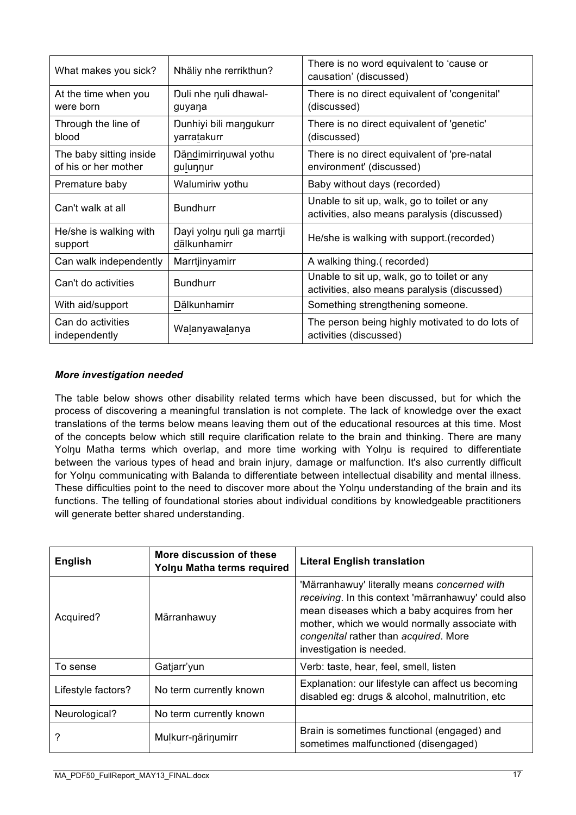| What makes you sick?                            | Nhäliy nhe rerrikthun?                     | There is no word equivalent to 'cause or<br>causation' (discussed)                          |
|-------------------------------------------------|--------------------------------------------|---------------------------------------------------------------------------------------------|
| At the time when you<br>were born               | Duli nhe nuli dhawal-<br>guyana            | There is no direct equivalent of 'congenital'<br>(discussed)                                |
| Through the line of<br>blood                    | Dunhiyi bili mangukurr<br>yarratakurr      | There is no direct equivalent of 'genetic'<br>(discussed)                                   |
| The baby sitting inside<br>of his or her mother | Dändimirrinuwal yothu<br>gulunnur          | There is no direct equivalent of 'pre-natal<br>environment' (discussed)                     |
| Premature baby                                  | Walumiriw yothu                            | Baby without days (recorded)                                                                |
| Can't walk at all                               | <b>Bundhurr</b>                            | Unable to sit up, walk, go to toilet or any<br>activities, also means paralysis (discussed) |
| He/she is walking with<br>support               | Dayi yolnu nuli ga marrtji<br>dälkunhamirr | He/she is walking with support.(recorded)                                                   |
| Can walk independently                          | Marrtjinyamirr                             | A walking thing.(recorded)                                                                  |
| Can't do activities                             | <b>Bundhurr</b>                            | Unable to sit up, walk, go to toilet or any<br>activities, also means paralysis (discussed) |
| With aid/support                                | Dälkunhamirr                               | Something strengthening someone.                                                            |
| Can do activities<br>independently              | Walanyawalanya                             | The person being highly motivated to do lots of<br>activities (discussed)                   |

#### *More investigation needed*

The table below shows other disability related terms which have been discussed, but for which the process of discovering a meaningful translation is not complete. The lack of knowledge over the exact translations of the terms below means leaving them out of the educational resources at this time. Most of the concepts below which still require clarification relate to the brain and thinking. There are many Yolnu Matha terms which overlap, and more time working with Yolnu is required to differentiate between the various types of head and brain injury, damage or malfunction. It's also currently difficult for Yolnu communicating with Balanda to differentiate between intellectual disability and mental illness. These difficulties point to the need to discover more about the Yolnu understanding of the brain and its functions. The telling of foundational stories about individual conditions by knowledgeable practitioners will generate better shared understanding.

| <b>English</b>     | More discussion of these<br>Yolnu Matha terms required | <b>Literal English translation</b>                                                                                                                                                                                                                                         |
|--------------------|--------------------------------------------------------|----------------------------------------------------------------------------------------------------------------------------------------------------------------------------------------------------------------------------------------------------------------------------|
| Acquired?          | Märranhawuy                                            | 'Märranhawuy' literally means concerned with<br>receiving. In this context 'märranhawuy' could also<br>mean diseases which a baby acquires from her<br>mother, which we would normally associate with<br>congenital rather than acquired. More<br>investigation is needed. |
| To sense           | Gatjarr'yun                                            | Verb: taste, hear, feel, smell, listen                                                                                                                                                                                                                                     |
| Lifestyle factors? | No term currently known                                | Explanation: our lifestyle can affect us becoming<br>disabled eg: drugs & alcohol, malnutrition, etc.                                                                                                                                                                      |
| Neurological?      | No term currently known                                |                                                                                                                                                                                                                                                                            |
|                    | Mulkurr-närinumirr                                     | Brain is sometimes functional (engaged) and<br>sometimes malfunctioned (disengaged)                                                                                                                                                                                        |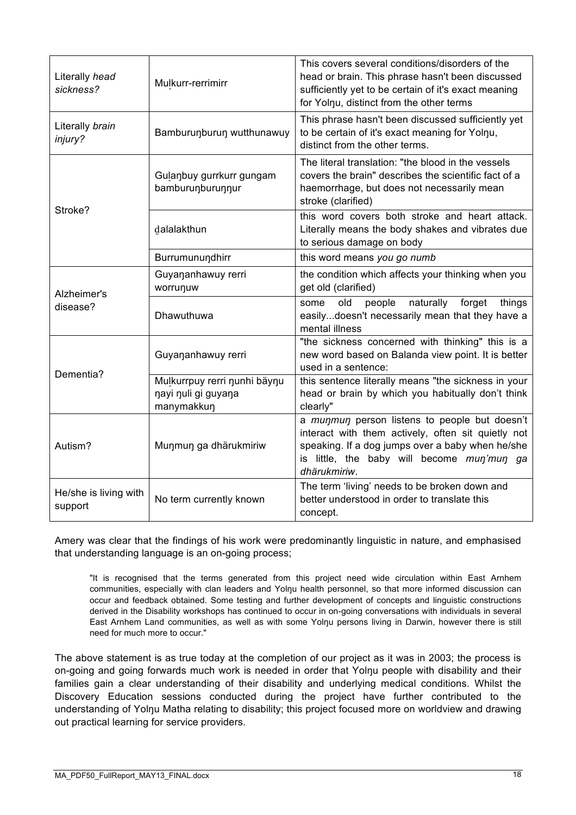| Literally head<br>sickness?      | Mulkurr-rerrimirr                                                 | This covers several conditions/disorders of the<br>head or brain. This phrase hasn't been discussed<br>sufficiently yet to be certain of it's exact meaning<br>for Yolnu, distinct from the other terms               |
|----------------------------------|-------------------------------------------------------------------|-----------------------------------------------------------------------------------------------------------------------------------------------------------------------------------------------------------------------|
| Literally brain<br>injury?       | Bamburunburun wutthunawuy                                         | This phrase hasn't been discussed sufficiently yet<br>to be certain of it's exact meaning for Yolnu,<br>distinct from the other terms.                                                                                |
|                                  | Gulanbuy gurrkurr gungam<br>bamburunburunnur                      | The literal translation: "the blood in the vessels<br>covers the brain" describes the scientific fact of a<br>haemorrhage, but does not necessarily mean<br>stroke (clarified)                                        |
| Stroke?                          | dalalakthun                                                       | this word covers both stroke and heart attack.<br>Literally means the body shakes and vibrates due<br>to serious damage on body                                                                                       |
|                                  | Burrumunundhirr                                                   | this word means you go numb                                                                                                                                                                                           |
| Alzheimer's                      | Guyananhawuy rerri<br>worrunuw                                    | the condition which affects your thinking when you<br>get old (clarified)                                                                                                                                             |
| disease?                         | Dhawuthuwa                                                        | naturally<br>old<br>people<br>forget<br>things<br>some<br>easilydoesn't necessarily mean that they have a<br>mental illness                                                                                           |
| Dementia?                        | Guyananhawuy rerri                                                | "the sickness concerned with thinking" this is a<br>new word based on Balanda view point. It is better<br>used in a sentence:                                                                                         |
|                                  | Mulkurrpuy rerri nunhi bäynu<br>nayi nuli gi guyana<br>manymakkun | this sentence literally means "the sickness in your<br>head or brain by which you habitually don't think<br>clearly"                                                                                                  |
| Autism?                          | Munmun ga dhärukmiriw                                             | a munmun person listens to people but doesn't<br>interact with them actively, often sit quietly not<br>speaking. If a dog jumps over a baby when he/she<br>is little, the baby will become mun'mun ga<br>dhärukmiriw. |
| He/she is living with<br>support | No term currently known                                           | The term 'living' needs to be broken down and<br>better understood in order to translate this<br>concept.                                                                                                             |

Amery was clear that the findings of his work were predominantly linguistic in nature, and emphasised that understanding language is an on-going process;

"It is recognised that the terms generated from this project need wide circulation within East Arnhem communities, especially with clan leaders and Yolnu health personnel, so that more informed discussion can occur and feedback obtained. Some testing and further development of concepts and linguistic constructions derived in the Disability workshops has continued to occur in on-going conversations with individuals in several East Arnhem Land communities, as well as with some Yolnu persons living in Darwin, however there is still need for much more to occur."

The above statement is as true today at the completion of our project as it was in 2003; the process is on-going and going forwards much work is needed in order that Yolŋu people with disability and their families gain a clear understanding of their disability and underlying medical conditions. Whilst the Discovery Education sessions conducted during the project have further contributed to the understanding of Yolnu Matha relating to disability; this project focused more on worldview and drawing out practical learning for service providers.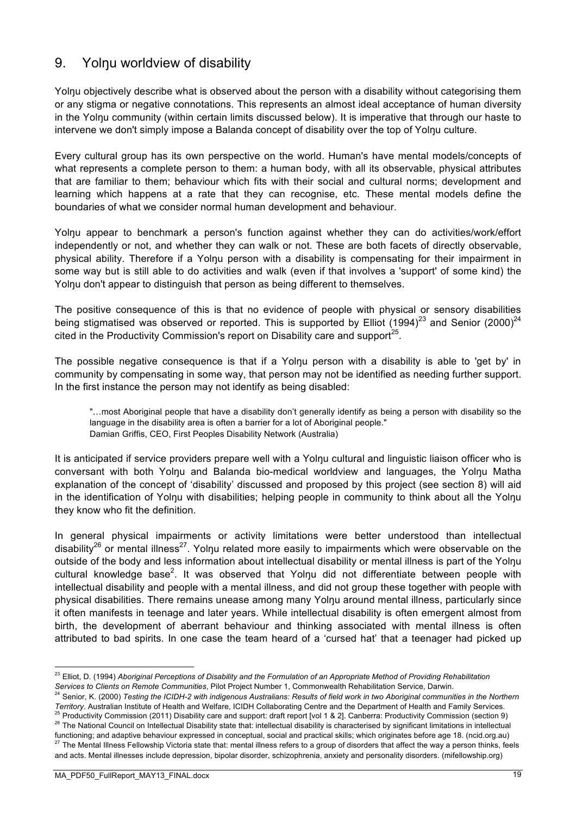# 9. Yolnu worldview of disability

Yolnu objectively describe what is observed about the person with a disability without categorising them or any stigma or negative connotations. This represents an almost ideal acceptance of human diversity in the Yolŋu community (within certain limits discussed below). It is imperative that through our haste to intervene we don't simply impose a Balanda concept of disability over the top of Yolŋu culture.

Every cultural group has its own perspective on the world. Human's have mental models/concepts of what represents a complete person to them: a human body, with all its observable, physical attributes that are familiar to them; behaviour which fits with their social and cultural norms; development and learning which happens at a rate that they can recognise, etc. These mental models define the boundaries of what we consider normal human development and behaviour.

Yolnu appear to benchmark a person's function against whether they can do activities/work/effort independently or not, and whether they can walk or not. These are both facets of directly observable, physical ability. Therefore if a Yolnu person with a disability is compensating for their impairment in some way but is still able to do activities and walk (even if that involves a 'support' of some kind) the Yolnu don't appear to distinguish that person as being different to themselves.

The positive consequence of this is that no evidence of people with physical or sensory disabilities being stigmatised was observed or reported. This is supported by Elliot (1994)<sup>23</sup> and Senior (2000)<sup>24</sup> cited in the Productivity Commission's report on Disability care and support  $25$ .

The possible negative consequence is that if a Yolnu person with a disability is able to 'get by' in community by compensating in some way, that person may not be identified as needing further support. In the first instance the person may not identify as being disabled:

"…most Aboriginal people that have a disability don't generally identify as being a person with disability so the language in the disability area is often a barrier for a lot of Aboriginal people." Damian Griffis, CEO, First Peoples Disability Network (Australia)

It is anticipated if service providers prepare well with a Yolŋu cultural and linguistic liaison officer who is conversant with both Yolŋu and Balanda bio-medical worldview and languages, the Yolŋu Matha explanation of the concept of 'disability' discussed and proposed by this project (see section 8) will aid in the identification of Yolnu with disabilities; helping people in community to think about all the Yolnu they know who fit the definition.

In general physical impairments or activity limitations were better understood than intellectual disability<sup>26</sup> or mental illness<sup>27</sup>. Yolnu related more easily to impairments which were observable on the outside of the body and less information about intellectual disability or mental illness is part of the Yolnu cultural knowledge base<sup>2</sup>. It was observed that Yolŋu did not differentiate between people with intellectual disability and people with a mental illness, and did not group these together with people with physical disabilities. There remains unease among many Yolnu around mental illness, particularly since it often manifests in teenage and later years. While intellectual disability is often emergent almost from birth, the development of aberrant behaviour and thinking associated with mental illness is often attributed to bad spirits. In one case the team heard of a 'cursed hat' that a teenager had picked up

- <sup>24</sup> Senior, K. (2000) *Testing the ICIDH-2 with indigenous Australians: Results of field work in two Aboriginal communities in the Northern Territory*. Australian Institute of Health and Welfare, ICIDH Collaborating Centre and the Department of Health and Family Services.
- <sup>25</sup> Productivity Commission (2011) Disability care and support: draft report [vol 1 & 2]. Canberra: Productivity Commission (section 9) 26 The National Council on Intellectual Disability state that: intellectual disability is characterised by significant limitations in intellectual functioning; and adaptive behaviour expressed in conceptual, social and practical skills; which originates before age 18. (ncid.org.au) <sup>27</sup> The Mental Illness Fellowship Victoria state that: mental illness refers to a group of disorders that affect the way a person thinks, feels and acts. Mental illnesses include depression, bipolar disorder, schizophrenia, anxiety and personality disorders. (mifellowship.org)

 <sup>23</sup> Elliot, D. (1994) *Aboriginal Perceptions of Disability and the Formulation of an Appropriate Method of Providing Rehabilitation Services to Clients on Remote Communities*, Pilot Project Number 1, Commonwealth Rehabilitation Service, Darwin.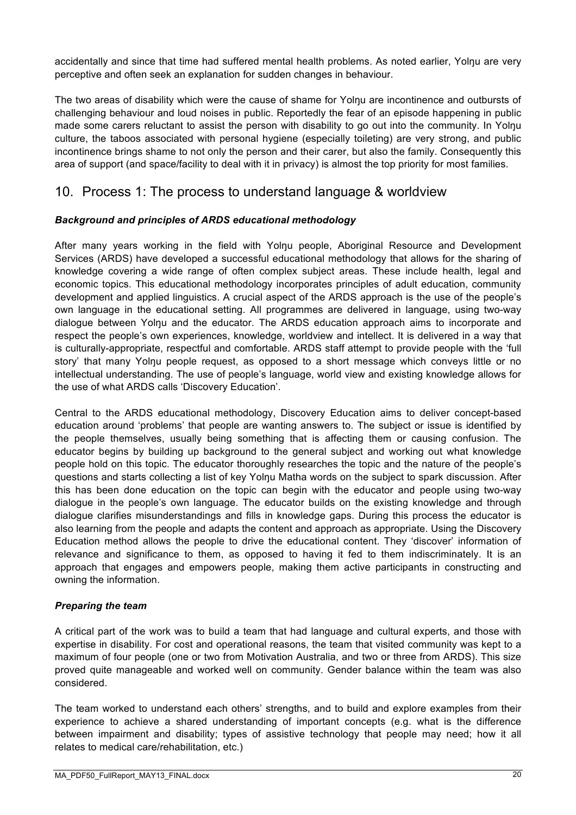accidentally and since that time had suffered mental health problems. As noted earlier, Yolnu are very perceptive and often seek an explanation for sudden changes in behaviour.

The two areas of disability which were the cause of shame for Yolŋu are incontinence and outbursts of challenging behaviour and loud noises in public. Reportedly the fear of an episode happening in public made some carers reluctant to assist the person with disability to go out into the community. In Yolnu culture, the taboos associated with personal hygiene (especially toileting) are very strong, and public incontinence brings shame to not only the person and their carer, but also the family. Consequently this area of support (and space/facility to deal with it in privacy) is almost the top priority for most families.

# 10. Process 1: The process to understand language & worldview

#### *Background and principles of ARDS educational methodology*

After many years working in the field with Yolnu people, Aboriginal Resource and Development Services (ARDS) have developed a successful educational methodology that allows for the sharing of knowledge covering a wide range of often complex subject areas. These include health, legal and economic topics. This educational methodology incorporates principles of adult education, community development and applied linguistics. A crucial aspect of the ARDS approach is the use of the people's own language in the educational setting. All programmes are delivered in language, using two-way dialogue between Yolŋu and the educator. The ARDS education approach aims to incorporate and respect the people's own experiences, knowledge, worldview and intellect. It is delivered in a way that is culturally-appropriate, respectful and comfortable. ARDS staff attempt to provide people with the 'full story' that many Yolnu people request, as opposed to a short message which conveys little or no intellectual understanding. The use of people's language, world view and existing knowledge allows for the use of what ARDS calls 'Discovery Education'.

Central to the ARDS educational methodology, Discovery Education aims to deliver concept-based education around 'problems' that people are wanting answers to. The subject or issue is identified by the people themselves, usually being something that is affecting them or causing confusion. The educator begins by building up background to the general subject and working out what knowledge people hold on this topic. The educator thoroughly researches the topic and the nature of the people's questions and starts collecting a list of key Yolnu Matha words on the subject to spark discussion. After this has been done education on the topic can begin with the educator and people using two-way dialogue in the people's own language. The educator builds on the existing knowledge and through dialogue clarifies misunderstandings and fills in knowledge gaps. During this process the educator is also learning from the people and adapts the content and approach as appropriate. Using the Discovery Education method allows the people to drive the educational content. They 'discover' information of relevance and significance to them, as opposed to having it fed to them indiscriminately. It is an approach that engages and empowers people, making them active participants in constructing and owning the information.

#### *Preparing the team*

A critical part of the work was to build a team that had language and cultural experts, and those with expertise in disability. For cost and operational reasons, the team that visited community was kept to a maximum of four people (one or two from Motivation Australia, and two or three from ARDS). This size proved quite manageable and worked well on community. Gender balance within the team was also considered.

The team worked to understand each others' strengths, and to build and explore examples from their experience to achieve a shared understanding of important concepts (e.g. what is the difference between impairment and disability; types of assistive technology that people may need; how it all relates to medical care/rehabilitation, etc.)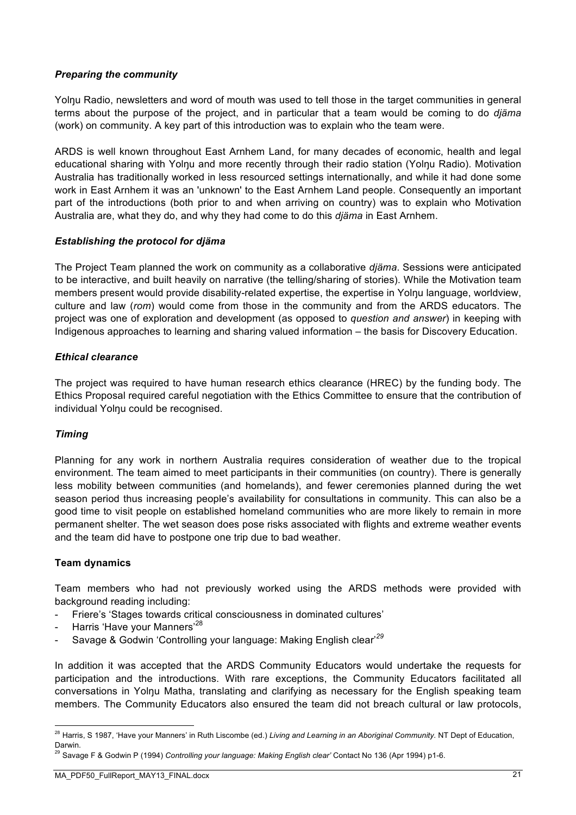#### *Preparing the community*

Yolnu Radio, newsletters and word of mouth was used to tell those in the target communities in general terms about the purpose of the project, and in particular that a team would be coming to do *djäma* (work) on community. A key part of this introduction was to explain who the team were.

ARDS is well known throughout East Arnhem Land, for many decades of economic, health and legal educational sharing with Yolnu and more recently through their radio station (Yolnu Radio). Motivation Australia has traditionally worked in less resourced settings internationally, and while it had done some work in East Arnhem it was an 'unknown' to the East Arnhem Land people. Consequently an important part of the introductions (both prior to and when arriving on country) was to explain who Motivation Australia are, what they do, and why they had come to do this *djäma* in East Arnhem.

#### *Establishing the protocol for djäma*

The Project Team planned the work on community as a collaborative *djäma*. Sessions were anticipated to be interactive, and built heavily on narrative (the telling/sharing of stories). While the Motivation team members present would provide disability-related expertise, the expertise in Yolnu language, worldview, culture and law (*rom*) would come from those in the community and from the ARDS educators. The project was one of exploration and development (as opposed to *question and answer*) in keeping with Indigenous approaches to learning and sharing valued information – the basis for Discovery Education.

#### *Ethical clearance*

The project was required to have human research ethics clearance (HREC) by the funding body. The Ethics Proposal required careful negotiation with the Ethics Committee to ensure that the contribution of individual Yolnu could be recognised.

#### *Timing*

Planning for any work in northern Australia requires consideration of weather due to the tropical environment. The team aimed to meet participants in their communities (on country). There is generally less mobility between communities (and homelands), and fewer ceremonies planned during the wet season period thus increasing people's availability for consultations in community. This can also be a good time to visit people on established homeland communities who are more likely to remain in more permanent shelter. The wet season does pose risks associated with flights and extreme weather events and the team did have to postpone one trip due to bad weather.

#### **Team dynamics**

Team members who had not previously worked using the ARDS methods were provided with background reading including:

- Friere's 'Stages towards critical consciousness in dominated cultures'
- Harris 'Have your Manners'<sup>28</sup>
- Savage & Godwin 'Controlling your language: Making English clear'*<sup>29</sup>*

In addition it was accepted that the ARDS Community Educators would undertake the requests for participation and the introductions. With rare exceptions, the Community Educators facilitated all conversations in Yolŋu Matha, translating and clarifying as necessary for the English speaking team members. The Community Educators also ensured the team did not breach cultural or law protocols,

 <sup>28</sup> Harris, S 1987, 'Have your Manners' in Ruth Liscombe (ed.) *Living and Learning in an Aboriginal Community.* NT Dept of Education, Darwin.

<sup>29</sup> Savage F & Godwin P (1994) *Controlling your language: Making English clear'* Contact No 136 (Apr 1994) p1-6.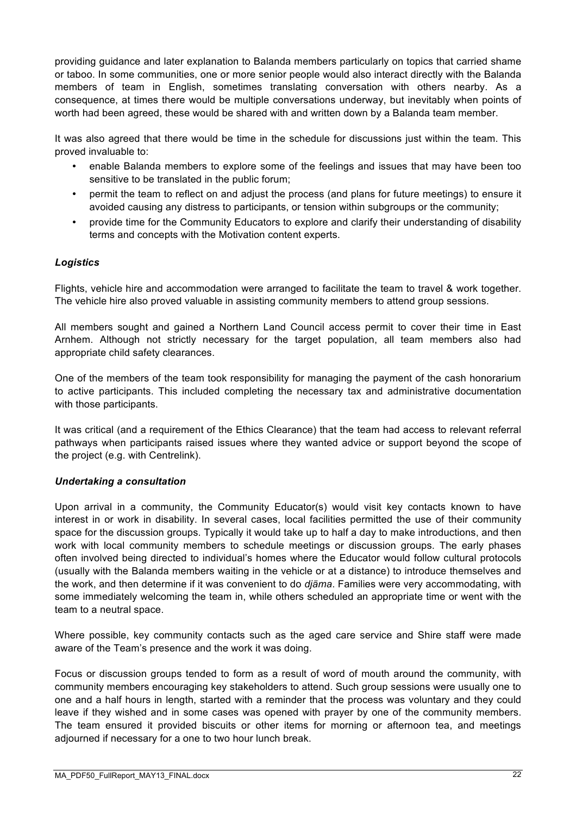providing guidance and later explanation to Balanda members particularly on topics that carried shame or taboo. In some communities, one or more senior people would also interact directly with the Balanda members of team in English, sometimes translating conversation with others nearby. As a consequence, at times there would be multiple conversations underway, but inevitably when points of worth had been agreed, these would be shared with and written down by a Balanda team member.

It was also agreed that there would be time in the schedule for discussions just within the team. This proved invaluable to:

- enable Balanda members to explore some of the feelings and issues that may have been too sensitive to be translated in the public forum;
- permit the team to reflect on and adjust the process (and plans for future meetings) to ensure it avoided causing any distress to participants, or tension within subgroups or the community;
- provide time for the Community Educators to explore and clarify their understanding of disability terms and concepts with the Motivation content experts.

#### *Logistics*

Flights, vehicle hire and accommodation were arranged to facilitate the team to travel & work together. The vehicle hire also proved valuable in assisting community members to attend group sessions.

All members sought and gained a Northern Land Council access permit to cover their time in East Arnhem. Although not strictly necessary for the target population, all team members also had appropriate child safety clearances.

One of the members of the team took responsibility for managing the payment of the cash honorarium to active participants. This included completing the necessary tax and administrative documentation with those participants.

It was critical (and a requirement of the Ethics Clearance) that the team had access to relevant referral pathways when participants raised issues where they wanted advice or support beyond the scope of the project (e.g. with Centrelink).

#### *Undertaking a consultation*

Upon arrival in a community, the Community Educator(s) would visit key contacts known to have interest in or work in disability. In several cases, local facilities permitted the use of their community space for the discussion groups. Typically it would take up to half a day to make introductions, and then work with local community members to schedule meetings or discussion groups. The early phases often involved being directed to individual's homes where the Educator would follow cultural protocols (usually with the Balanda members waiting in the vehicle or at a distance) to introduce themselves and the work, and then determine if it was convenient to do *djäma*. Families were very accommodating, with some immediately welcoming the team in, while others scheduled an appropriate time or went with the team to a neutral space.

Where possible, key community contacts such as the aged care service and Shire staff were made aware of the Team's presence and the work it was doing.

Focus or discussion groups tended to form as a result of word of mouth around the community, with community members encouraging key stakeholders to attend. Such group sessions were usually one to one and a half hours in length, started with a reminder that the process was voluntary and they could leave if they wished and in some cases was opened with prayer by one of the community members. The team ensured it provided biscuits or other items for morning or afternoon tea, and meetings adjourned if necessary for a one to two hour lunch break.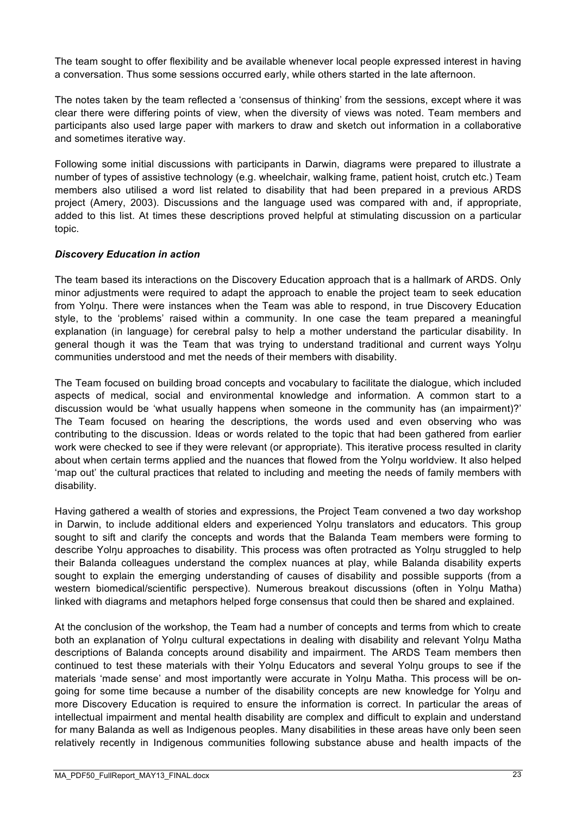The team sought to offer flexibility and be available whenever local people expressed interest in having a conversation. Thus some sessions occurred early, while others started in the late afternoon.

The notes taken by the team reflected a 'consensus of thinking' from the sessions, except where it was clear there were differing points of view, when the diversity of views was noted. Team members and participants also used large paper with markers to draw and sketch out information in a collaborative and sometimes iterative way.

Following some initial discussions with participants in Darwin, diagrams were prepared to illustrate a number of types of assistive technology (e.g. wheelchair, walking frame, patient hoist, crutch etc.) Team members also utilised a word list related to disability that had been prepared in a previous ARDS project (Amery, 2003). Discussions and the language used was compared with and, if appropriate, added to this list. At times these descriptions proved helpful at stimulating discussion on a particular topic.

#### *Discovery Education in action*

The team based its interactions on the Discovery Education approach that is a hallmark of ARDS. Only minor adjustments were required to adapt the approach to enable the project team to seek education from Yolnu. There were instances when the Team was able to respond, in true Discovery Education style, to the 'problems' raised within a community. In one case the team prepared a meaningful explanation (in language) for cerebral palsy to help a mother understand the particular disability. In general though it was the Team that was trying to understand traditional and current ways Yolnu communities understood and met the needs of their members with disability.

The Team focused on building broad concepts and vocabulary to facilitate the dialogue, which included aspects of medical, social and environmental knowledge and information. A common start to a discussion would be 'what usually happens when someone in the community has (an impairment)?' The Team focused on hearing the descriptions, the words used and even observing who was contributing to the discussion. Ideas or words related to the topic that had been gathered from earlier work were checked to see if they were relevant (or appropriate). This iterative process resulted in clarity about when certain terms applied and the nuances that flowed from the Yolŋu worldview. It also helped 'map out' the cultural practices that related to including and meeting the needs of family members with disability.

Having gathered a wealth of stories and expressions, the Project Team convened a two day workshop in Darwin, to include additional elders and experienced Yolnu translators and educators. This group sought to sift and clarify the concepts and words that the Balanda Team members were forming to describe Yolnu approaches to disability. This process was often protracted as Yolnu struggled to help their Balanda colleagues understand the complex nuances at play, while Balanda disability experts sought to explain the emerging understanding of causes of disability and possible supports (from a western biomedical/scientific perspective). Numerous breakout discussions (often in Yolnu Matha) linked with diagrams and metaphors helped forge consensus that could then be shared and explained.

At the conclusion of the workshop, the Team had a number of concepts and terms from which to create both an explanation of Yolnu cultural expectations in dealing with disability and relevant Yolnu Matha descriptions of Balanda concepts around disability and impairment. The ARDS Team members then continued to test these materials with their Yolnu Educators and several Yolnu groups to see if the materials 'made sense' and most importantly were accurate in Yolnu Matha. This process will be ongoing for some time because a number of the disability concepts are new knowledge for Yolnu and more Discovery Education is required to ensure the information is correct. In particular the areas of intellectual impairment and mental health disability are complex and difficult to explain and understand for many Balanda as well as Indigenous peoples. Many disabilities in these areas have only been seen relatively recently in Indigenous communities following substance abuse and health impacts of the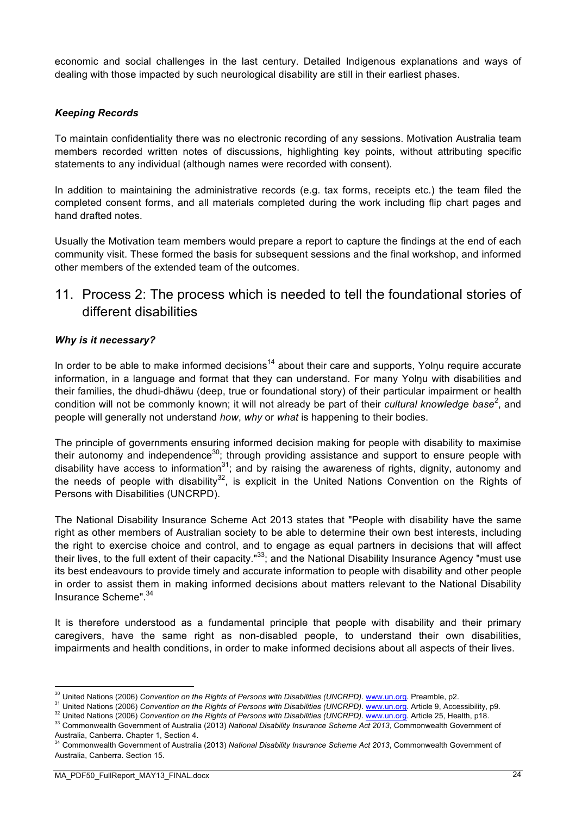economic and social challenges in the last century. Detailed Indigenous explanations and ways of dealing with those impacted by such neurological disability are still in their earliest phases.

#### *Keeping Records*

To maintain confidentiality there was no electronic recording of any sessions. Motivation Australia team members recorded written notes of discussions, highlighting key points, without attributing specific statements to any individual (although names were recorded with consent).

In addition to maintaining the administrative records (e.g. tax forms, receipts etc.) the team filed the completed consent forms, and all materials completed during the work including flip chart pages and hand drafted notes.

Usually the Motivation team members would prepare a report to capture the findings at the end of each community visit. These formed the basis for subsequent sessions and the final workshop, and informed other members of the extended team of the outcomes.

## 11. Process 2: The process which is needed to tell the foundational stories of different disabilities

#### *Why is it necessary?*

In order to be able to make informed decisions<sup>14</sup> about their care and supports, Yolnu require accurate information, in a language and format that they can understand. For many Yolnu with disabilities and their families, the dhudi-dhäwu (deep, true or foundational story) of their particular impairment or health condition will not be commonly known; it will not already be part of their *cultural knowledge base<sup>2</sup>* , and people will generally not understand *how*, *why* or *what* is happening to their bodies.

The principle of governments ensuring informed decision making for people with disability to maximise their autonomy and independence<sup>30</sup>; through providing assistance and support to ensure people with disability have access to information $^{31}$ ; and by raising the awareness of rights, dignity, autonomy and the needs of people with disability<sup>32</sup>, is explicit in the United Nations Convention on the Rights of Persons with Disabilities (UNCRPD).

The National Disability Insurance Scheme Act 2013 states that "People with disability have the same right as other members of Australian society to be able to determine their own best interests, including the right to exercise choice and control, and to engage as equal partners in decisions that will affect their lives, to the full extent of their capacity."<sup>33</sup>; and the National Disability Insurance Agency "must use its best endeavours to provide timely and accurate information to people with disability and other people in order to assist them in making informed decisions about matters relevant to the National Disability Insurance Scheme".34

It is therefore understood as a fundamental principle that people with disability and their primary caregivers, have the same right as non-disabled people, to understand their own disabilities, impairments and health conditions, in order to make informed decisions about all aspects of their lives.

<sup>&</sup>lt;sup>30</sup> United Nations (2006) *Convention on the Rights of Persons with Disabilities (UNCRPD). www.un.org.* Preamble, p2.

<sup>31</sup> United Nations (2006) *Convention on the Rights of Persons with Disabilities (UNCRPD)*. www.un.org. Article 9, Accessibility, p9.

<sup>&</sup>lt;sup>32</sup> United Nations (2006) Convention on the Rights of Persons with Disabilities (UNCRPD). www.un.org. Article 25, Health, p18.

<sup>&</sup>lt;sup>33</sup> Commonwealth Government of Australia (2013) National Disability Insurance Scheme Act 2013, Commonwealth Government of Australia, Canberra. Chapter 1, Section 4.

<sup>34</sup> Commonwealth Government of Australia (2013) *National Disability Insurance Scheme Act 2013*, Commonwealth Government of Australia, Canberra. Section 15.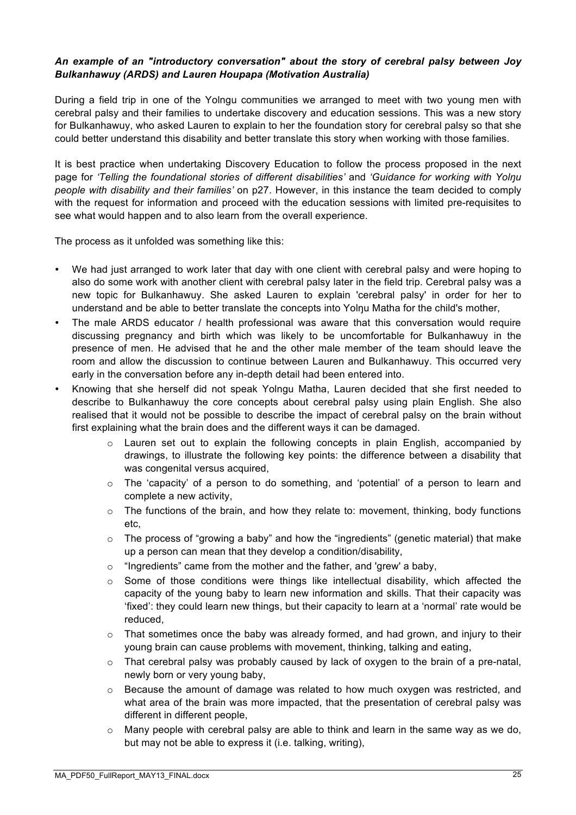#### *An example of an "introductory conversation" about the story of cerebral palsy between Joy Bulkanhawuy (ARDS) and Lauren Houpapa (Motivation Australia)*

During a field trip in one of the Yolngu communities we arranged to meet with two young men with cerebral palsy and their families to undertake discovery and education sessions. This was a new story for Bulkanhawuy, who asked Lauren to explain to her the foundation story for cerebral palsy so that she could better understand this disability and better translate this story when working with those families.

It is best practice when undertaking Discovery Education to follow the process proposed in the next page for *'Telling the foundational stories of different disabilities'* and *'Guidance for working with Yolŋu people with disability and their families'* on p27. However, in this instance the team decided to comply with the request for information and proceed with the education sessions with limited pre-requisites to see what would happen and to also learn from the overall experience.

The process as it unfolded was something like this:

- We had just arranged to work later that day with one client with cerebral palsy and were hoping to also do some work with another client with cerebral palsy later in the field trip. Cerebral palsy was a new topic for Bulkanhawuy. She asked Lauren to explain 'cerebral palsy' in order for her to understand and be able to better translate the concepts into Yolnu Matha for the child's mother,
- The male ARDS educator / health professional was aware that this conversation would require discussing pregnancy and birth which was likely to be uncomfortable for Bulkanhawuy in the presence of men. He advised that he and the other male member of the team should leave the room and allow the discussion to continue between Lauren and Bulkanhawuy. This occurred very early in the conversation before any in-depth detail had been entered into.
- Knowing that she herself did not speak Yolngu Matha, Lauren decided that she first needed to describe to Bulkanhawuy the core concepts about cerebral palsy using plain English. She also realised that it would not be possible to describe the impact of cerebral palsy on the brain without first explaining what the brain does and the different ways it can be damaged.
	- $\circ$  Lauren set out to explain the following concepts in plain English, accompanied by drawings, to illustrate the following key points: the difference between a disability that was congenital versus acquired,
	- $\circ$  The 'capacity' of a person to do something, and 'potential' of a person to learn and complete a new activity,
	- $\circ$  The functions of the brain, and how they relate to: movement, thinking, body functions etc,
	- $\circ$  The process of "growing a baby" and how the "ingredients" (genetic material) that make up a person can mean that they develop a condition/disability,
	- o "Ingredients" came from the mother and the father, and 'grew' a baby,
	- $\circ$  Some of those conditions were things like intellectual disability, which affected the capacity of the young baby to learn new information and skills. That their capacity was 'fixed': they could learn new things, but their capacity to learn at a 'normal' rate would be reduced,
	- o That sometimes once the baby was already formed, and had grown, and injury to their young brain can cause problems with movement, thinking, talking and eating,
	- $\circ$  That cerebral palsy was probably caused by lack of oxygen to the brain of a pre-natal, newly born or very young baby,
	- $\circ$  Because the amount of damage was related to how much oxygen was restricted, and what area of the brain was more impacted, that the presentation of cerebral palsy was different in different people,
	- $\circ$  Many people with cerebral palsy are able to think and learn in the same way as we do, but may not be able to express it (i.e. talking, writing),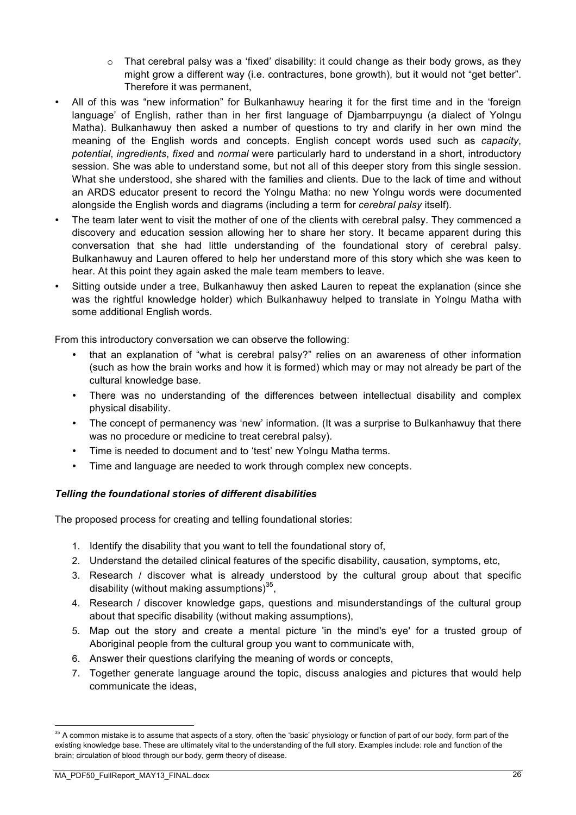- $\circ$  That cerebral palsy was a 'fixed' disability: it could change as their body grows, as they might grow a different way (i.e. contractures, bone growth), but it would not "get better". Therefore it was permanent,
- All of this was "new information" for Bulkanhawuy hearing it for the first time and in the 'foreign language' of English, rather than in her first language of Djambarrpuyngu (a dialect of Yolngu Matha). Bulkanhawuy then asked a number of questions to try and clarify in her own mind the meaning of the English words and concepts. English concept words used such as *capacity*, *potential*, *ingredients*, *fixed* and *normal* were particularly hard to understand in a short, introductory session. She was able to understand some, but not all of this deeper story from this single session. What she understood, she shared with the families and clients. Due to the lack of time and without an ARDS educator present to record the Yolngu Matha: no new Yolngu words were documented alongside the English words and diagrams (including a term for *cerebral palsy* itself).
- The team later went to visit the mother of one of the clients with cerebral palsy. They commenced a discovery and education session allowing her to share her story. It became apparent during this conversation that she had little understanding of the foundational story of cerebral palsy. Bulkanhawuy and Lauren offered to help her understand more of this story which she was keen to hear. At this point they again asked the male team members to leave.
- Sitting outside under a tree, Bulkanhawuy then asked Lauren to repeat the explanation (since she was the rightful knowledge holder) which Bulkanhawuy helped to translate in Yolngu Matha with some additional English words.

From this introductory conversation we can observe the following:

- that an explanation of "what is cerebral palsy?" relies on an awareness of other information (such as how the brain works and how it is formed) which may or may not already be part of the cultural knowledge base.
- There was no understanding of the differences between intellectual disability and complex physical disability.
- The concept of permanency was 'new' information. (It was a surprise to Bulkanhawuy that there was no procedure or medicine to treat cerebral palsy).
- Time is needed to document and to 'test' new Yolngu Matha terms.
- Time and language are needed to work through complex new concepts.

#### *Telling the foundational stories of different disabilities*

The proposed process for creating and telling foundational stories:

- 1. Identify the disability that you want to tell the foundational story of,
- 2. Understand the detailed clinical features of the specific disability, causation, symptoms, etc,
- 3. Research / discover what is already understood by the cultural group about that specific disability (without making assumptions) $35$ ,
- 4. Research / discover knowledge gaps, questions and misunderstandings of the cultural group about that specific disability (without making assumptions),
- 5. Map out the story and create a mental picture 'in the mind's eye' for a trusted group of Aboriginal people from the cultural group you want to communicate with,
- 6. Answer their questions clarifying the meaning of words or concepts,
- 7. Together generate language around the topic, discuss analogies and pictures that would help communicate the ideas,

<sup>&</sup>lt;sup>35</sup> A common mistake is to assume that aspects of a story, often the 'basic' physiology or function of part of our body, form part of the existing knowledge base. These are ultimately vital to the understanding of the full story. Examples include: role and function of the brain; circulation of blood through our body, germ theory of disease.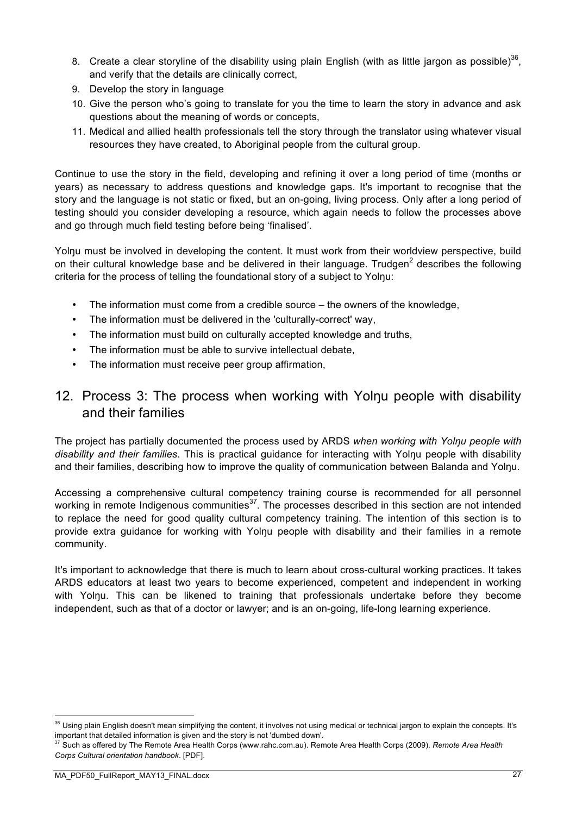- 8. Create a clear storyline of the disability using plain English (with as little jargon as possible)<sup>36</sup>. and verify that the details are clinically correct,
- 9. Develop the story in language
- 10. Give the person who's going to translate for you the time to learn the story in advance and ask questions about the meaning of words or concepts,
- 11. Medical and allied health professionals tell the story through the translator using whatever visual resources they have created, to Aboriginal people from the cultural group.

Continue to use the story in the field, developing and refining it over a long period of time (months or years) as necessary to address questions and knowledge gaps. It's important to recognise that the story and the language is not static or fixed, but an on-going, living process. Only after a long period of testing should you consider developing a resource, which again needs to follow the processes above and go through much field testing before being 'finalised'.

Yolnu must be involved in developing the content. It must work from their worldview perspective, build on their cultural knowledge base and be delivered in their language. Trudgen<sup>2</sup> describes the following criteria for the process of telling the foundational story of a subject to Yolŋu:

- The information must come from a credible source the owners of the knowledge,
- The information must be delivered in the 'culturally-correct' way,
- The information must build on culturally accepted knowledge and truths,
- The information must be able to survive intellectual debate,
- The information must receive peer group affirmation,

## 12. Process 3: The process when working with Yolnu people with disability and their families

The project has partially documented the process used by ARDS *when working with Yolŋu people with disability and their families*. This is practical guidance for interacting with Yolŋu people with disability and their families, describing how to improve the quality of communication between Balanda and Yolnu.

Accessing a comprehensive cultural competency training course is recommended for all personnel working in remote Indigenous communities<sup>37</sup>. The processes described in this section are not intended to replace the need for good quality cultural competency training. The intention of this section is to provide extra guidance for working with Yolnu people with disability and their families in a remote community.

It's important to acknowledge that there is much to learn about cross-cultural working practices. It takes ARDS educators at least two years to become experienced, competent and independent in working with Yolŋu. This can be likened to training that professionals undertake before they become independent, such as that of a doctor or lawyer; and is an on-going, life-long learning experience.

<sup>&</sup>lt;sup>36</sup> Usina plain English doesn't mean simplifying the content, it involves not using medical or technical jargon to explain the concepts. It's important that detailed information is given and the story is not 'dumbed down'.

<sup>37</sup> Such as offered by The Remote Area Health Corps (www.rahc.com.au). Remote Area Health Corps (2009). *Remote Area Health Corps Cultural orientation handbook*. [PDF].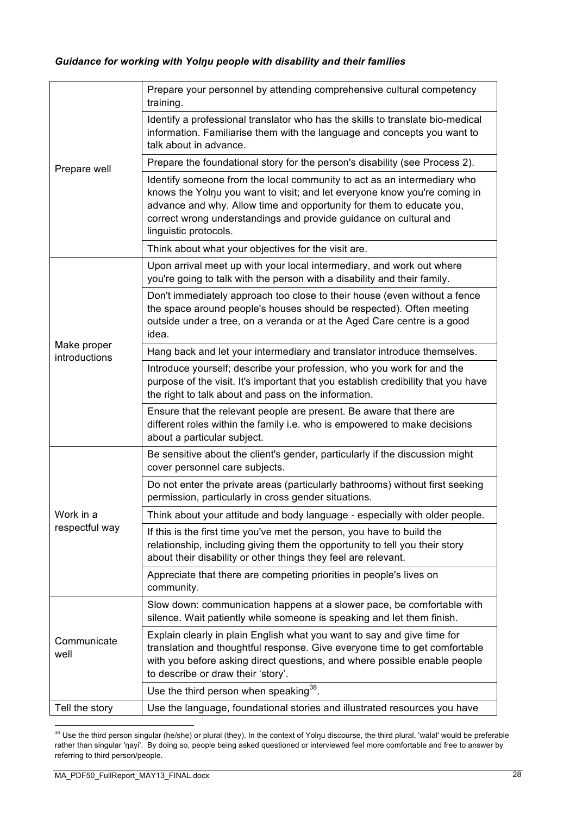|                              | Prepare your personnel by attending comprehensive cultural competency<br>training.                                                                                                                                                                                                                                         |
|------------------------------|----------------------------------------------------------------------------------------------------------------------------------------------------------------------------------------------------------------------------------------------------------------------------------------------------------------------------|
|                              | Identify a professional translator who has the skills to translate bio-medical<br>information. Familiarise them with the language and concepts you want to<br>talk about in advance.                                                                                                                                       |
| Prepare well                 | Prepare the foundational story for the person's disability (see Process 2).                                                                                                                                                                                                                                                |
|                              | Identify someone from the local community to act as an intermediary who<br>knows the Yolnu you want to visit; and let everyone know you're coming in<br>advance and why. Allow time and opportunity for them to educate you,<br>correct wrong understandings and provide guidance on cultural and<br>linguistic protocols. |
|                              | Think about what your objectives for the visit are.                                                                                                                                                                                                                                                                        |
| Make proper<br>introductions | Upon arrival meet up with your local intermediary, and work out where<br>you're going to talk with the person with a disability and their family.                                                                                                                                                                          |
|                              | Don't immediately approach too close to their house (even without a fence<br>the space around people's houses should be respected). Often meeting<br>outside under a tree, on a veranda or at the Aged Care centre is a good<br>idea.                                                                                      |
|                              | Hang back and let your intermediary and translator introduce themselves.                                                                                                                                                                                                                                                   |
|                              | Introduce yourself; describe your profession, who you work for and the<br>purpose of the visit. It's important that you establish credibility that you have<br>the right to talk about and pass on the information.                                                                                                        |
|                              | Ensure that the relevant people are present. Be aware that there are<br>different roles within the family i.e. who is empowered to make decisions<br>about a particular subject.                                                                                                                                           |
|                              | Be sensitive about the client's gender, particularly if the discussion might<br>cover personnel care subjects.                                                                                                                                                                                                             |
|                              | Do not enter the private areas (particularly bathrooms) without first seeking<br>permission, particularly in cross gender situations.                                                                                                                                                                                      |
| Work in a                    | Think about your attitude and body language - especially with older people.                                                                                                                                                                                                                                                |
| respectful way               | If this is the first time you've met the person, you have to build the<br>relationship, including giving them the opportunity to tell you their story<br>about their disability or other things they feel are relevant.                                                                                                    |
|                              | Appreciate that there are competing priorities in people's lives on<br>community.                                                                                                                                                                                                                                          |
| Communicate<br>well          | Slow down: communication happens at a slower pace, be comfortable with<br>silence. Wait patiently while someone is speaking and let them finish.                                                                                                                                                                           |
|                              | Explain clearly in plain English what you want to say and give time for<br>translation and thoughtful response. Give everyone time to get comfortable<br>with you before asking direct questions, and where possible enable people<br>to describe or draw their 'story'.                                                   |
|                              | Use the third person when speaking <sup>38</sup> .                                                                                                                                                                                                                                                                         |
| Tell the story               | Use the language, foundational stories and illustrated resources you have                                                                                                                                                                                                                                                  |

<sup>&</sup>lt;sup>38</sup> Use the third person singular (he/she) or plural (they). In the context of Yolŋu discourse, the third plural, 'walal' would be preferable rather than singular 'ŋayi'. By doing so, people being asked questioned or interviewed feel more comfortable and free to answer by referring to third person/people.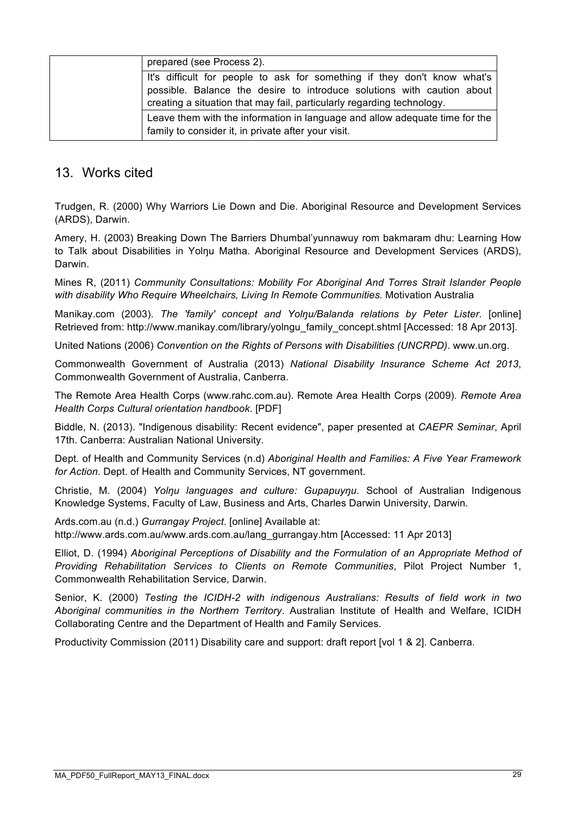|                                                                        | prepared (see Process 2).                                                   |  |  |  |
|------------------------------------------------------------------------|-----------------------------------------------------------------------------|--|--|--|
|                                                                        | It's difficult for people to ask for something if they don't know what's    |  |  |  |
|                                                                        | possible. Balance the desire to introduce solutions with caution about      |  |  |  |
| creating a situation that may fail, particularly regarding technology. |                                                                             |  |  |  |
|                                                                        | Leave them with the information in language and allow adequate time for the |  |  |  |
|                                                                        | family to consider it, in private after your visit.                         |  |  |  |

### 13. Works cited

Trudgen, R. (2000) Why Warriors Lie Down and Die. Aboriginal Resource and Development Services (ARDS), Darwin.

Amery, H. (2003) Breaking Down The Barriers Dhumbal'yunnawuy rom bakmaram dhu: Learning How to Talk about Disabilities in Yolnu Matha. Aboriginal Resource and Development Services (ARDS), Darwin.

Mines R, (2011) *Community Consultations: Mobility For Aboriginal And Torres Strait Islander People with disability Who Require Wheelchairs, Living In Remote Communities.* Motivation Australia

Manikay.com (2003). *The 'family' concept and Yolŋu/Balanda relations by Peter Lister*. [online] Retrieved from: http://www.manikay.com/library/yolngu\_family\_concept.shtml [Accessed: 18 Apr 2013].

United Nations (2006) *Convention on the Rights of Persons with Disabilities (UNCRPD)*. www.un.org.

Commonwealth Government of Australia (2013) *National Disability Insurance Scheme Act 2013*, Commonwealth Government of Australia, Canberra.

The Remote Area Health Corps (www.rahc.com.au). Remote Area Health Corps (2009). *Remote Area Health Corps Cultural orientation handbook*. [PDF]

Biddle, N. (2013). "Indigenous disability: Recent evidence", paper presented at *CAEPR Seminar*, April 17th. Canberra: Australian National University.

Dept. of Health and Community Services (n.d) *Aboriginal Health and Families: A Five Year Framework for Action*. Dept. of Health and Community Services, NT government.

Christie, M. (2004) *Yolŋu languages and culture: Gupapuyŋu*. School of Australian Indigenous Knowledge Systems, Faculty of Law, Business and Arts, Charles Darwin University, Darwin.

Ards.com.au (n.d.) *Gurrangay Project*. [online] Available at: http://www.ards.com.au/www.ards.com.au/lang\_gurrangay.htm [Accessed: 11 Apr 2013]

Elliot, D. (1994) *Aboriginal Perceptions of Disability and the Formulation of an Appropriate Method of Providing Rehabilitation Services to Clients on Remote Communities*, Pilot Project Number 1, Commonwealth Rehabilitation Service, Darwin.

Senior, K. (2000) *Testing the ICIDH-2 with indigenous Australians: Results of field work in two Aboriginal communities in the Northern Territory*. Australian Institute of Health and Welfare, ICIDH Collaborating Centre and the Department of Health and Family Services.

Productivity Commission (2011) Disability care and support: draft report [vol 1 & 2]. Canberra.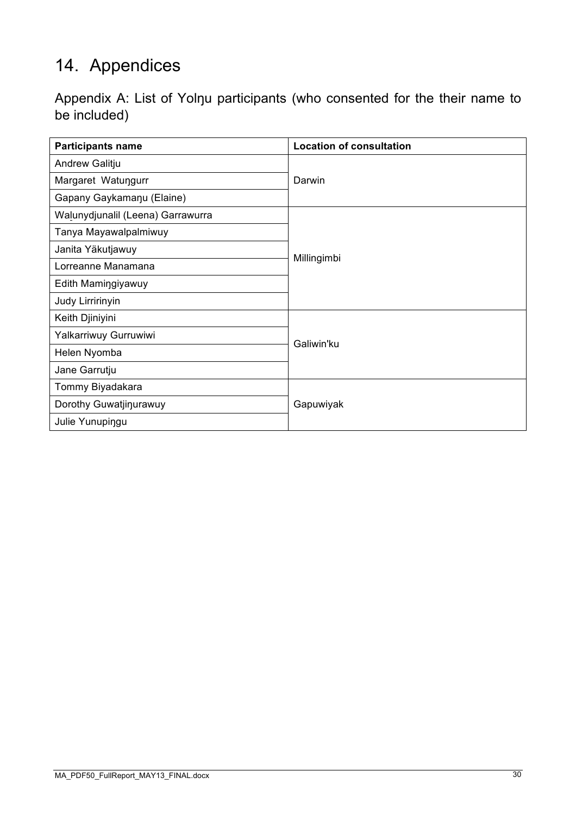# 14. Appendices

| Appendix A: List of Yolnu participants (who consented for the their name to |  |  |  |  |
|-----------------------------------------------------------------------------|--|--|--|--|
| be included)                                                                |  |  |  |  |

| <b>Participants name</b>          | <b>Location of consultation</b> |  |  |  |  |
|-----------------------------------|---------------------------------|--|--|--|--|
| Andrew Galitju                    |                                 |  |  |  |  |
| Margaret Watungurr                | Darwin                          |  |  |  |  |
| Gapany Gaykamanu (Elaine)         |                                 |  |  |  |  |
| Walunydjunalil (Leena) Garrawurra |                                 |  |  |  |  |
| Tanya Mayawalpalmiwuy             |                                 |  |  |  |  |
| Janita Yäkutjawuy                 |                                 |  |  |  |  |
| Lorreanne Manamana                | Millingimbi                     |  |  |  |  |
| Edith Mamingiyawuy                |                                 |  |  |  |  |
| Judy Lirririnyin                  |                                 |  |  |  |  |
| Keith Djiniyini                   | Galiwin'ku                      |  |  |  |  |
| Yalkarriwuy Gurruwiwi             |                                 |  |  |  |  |
| Helen Nyomba                      |                                 |  |  |  |  |
| Jane Garrutju                     |                                 |  |  |  |  |
| Tommy Biyadakara                  |                                 |  |  |  |  |
| Dorothy Guwatjinurawuy            | Gapuwiyak                       |  |  |  |  |
| Julie Yunupingu                   |                                 |  |  |  |  |